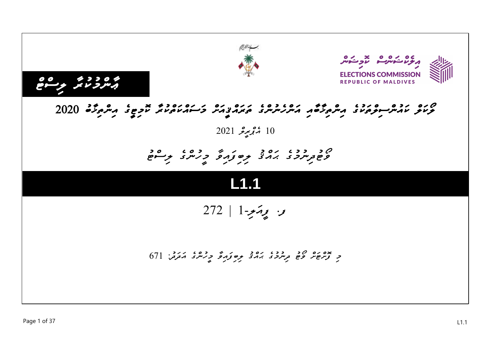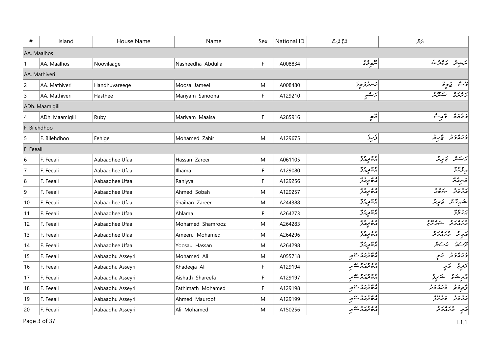| #               | Island         | House Name       | Name              | Sex         | National ID | ېره پر شه                     | ىئرىتر                                                  |  |  |  |  |
|-----------------|----------------|------------------|-------------------|-------------|-------------|-------------------------------|---------------------------------------------------------|--|--|--|--|
|                 | AA. Maalhos    |                  |                   |             |             |                               |                                                         |  |  |  |  |
|                 | AA. Maalhos    | Noovilaage       | Nasheedha Abdulla | F           | A008834     | دد په په<br>سرچ څرن           | <i>مترجيعتش مك</i> ەتمەللە                              |  |  |  |  |
|                 | AA. Mathiveri  |                  |                   |             |             |                               |                                                         |  |  |  |  |
| 2               | AA. Mathiveri  | Handhuvareege    | Moosa Jameel      | ${\sf M}$   | A008480     | ئەسە <i>ترەكىم</i> ىرىگە      | وَمَدَ نَجْ وِلْوَ                                      |  |  |  |  |
| 3               | AA. Mathiveri  | Hasthee          | Mariyam Sanoona   | F           | A129210     | ائرقعيمج                      | سە جەنبەتر<br>ر ه ر ه<br><del>د</del> بربرو             |  |  |  |  |
|                 | ADh. Maamigili |                  |                   |             |             |                               |                                                         |  |  |  |  |
|                 | ADh. Maamigili | Ruby             | Mariyam Maaisa    | $\mathsf F$ | A285916     | ود<br>بمرجع                   | وبروره وممرث                                            |  |  |  |  |
|                 | F. Bilehdhoo   |                  |                   |             |             |                               |                                                         |  |  |  |  |
| 5               | F. Bilehdhoo   | Fehige           | Mohamed Zahir     | M           | A129675     | ڈربز                          | ورەرو ئېرىز                                             |  |  |  |  |
| F. Feeali       |                |                  |                   |             |             |                               |                                                         |  |  |  |  |
| $6\overline{6}$ | F. Feeali      | Aabaadhee Ufaa   | Hassan Zareer     | ${\sf M}$   | A061105     | پژه در وي.<br>  پژه تو پرو    | يرسكانكر التج ميريكر                                    |  |  |  |  |
| 7               | F. Feeali      | Aabaadhee Ufaa   | Ilhama            | $\mathsf F$ | A129080     | ۇ ئەردۇ.<br>مۇم               | بروري                                                   |  |  |  |  |
| 8               | F. Feeali      | Aabaadhee Ufaa   | Raniyya           | F           | A129256     | پ <sup>ر پ</sup> ورو په د     | برسور                                                   |  |  |  |  |
| 9               | F. Feeali      | Aabaadhee Ufaa   | Ahmed Sobah       | M           | A129257     | پر په دره در کلی<br>مرگ تورمر | ره رو برود                                              |  |  |  |  |
| 10              | F. Feeali      | Aabaadhee Ufaa   | Shaihan Zareer    | M           | A244388     | پر په دره<br>مرگه ترمر        | څېرنگر ټمپنگ                                            |  |  |  |  |
| 11              | F. Feeali      | Aabaadhee Ufaa   | Ahlama            | F           | A264273     | ترځ مړير تر                   | ر و د و<br>مرنرو                                        |  |  |  |  |
| 12              | F. Feeali      | Aabaadhee Ufaa   | Mohamed Shamrooz  | M           | A264283     | ۇ ئەرەر<br>مەسىرەر تى         | و ره ر د<br><i>و پر د</i> تر<br>ر ده دو د<br>مشور نیمری |  |  |  |  |
| $ 13\rangle$    | F. Feeali      | Aabaadhee Ufaa   | Ameeru Mohamed    | M           | A264296     | ا پژھ <sub>پور</sub> تو       | הכת כממכת                                               |  |  |  |  |
| 14              | F. Feeali      | Aabaadhee Ufaa   | Yoosau Hassan     | M           | A264298     | ا پژھ <sub>پور</sub> چڙ       | در بر بر بر بر بر بر                                    |  |  |  |  |
| 15              | F. Feeali      | Aabaadhu Asseyri | Mohamed Ali       | M           | A055718     | په دره ،،<br>مەھەرمەسىر       | ورەر دىر                                                |  |  |  |  |
| 16              | F. Feeali      | Aabaadhu Asseyri | Khadeeja Ali      | F           | A129194     | ږ ده ده پي<br>د ځنرو د ک      | رَسِيعٌ - مَرِ                                          |  |  |  |  |
| 17              | F. Feeali      | Aabaadhu Asseyri | Aishath Shareefa  | F           | A129197     | ه و و ره ع<br>مه فرد د ک      | ر<br>مگر شکور شکورگر                                    |  |  |  |  |
| 18              | F. Feeali      | Aabaadhu Asseyri | Fathimath Mohamed | F           | A129198     | ه و د ره عه<br>مه توممر شومر  | و ده دره در                                             |  |  |  |  |
| 19              | F. Feeali      | Aabaadhu Asseyri | Ahmed Mauroof     | M           | A129199     | د د د ده ده.<br>د ه د د د ک   | נסני ניכרס<br>הגבה בה <i>צג</i>                         |  |  |  |  |
| 20              | F. Feeali      | Aabaadhu Asseyri | Ali Mohamed       | ${\sf M}$   | A150256     | په دره ،،<br>مەفرىرى شىمر     | أمرم وره رد                                             |  |  |  |  |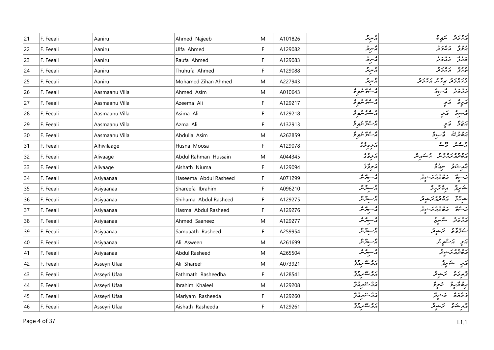| 21 | F. Feeali | Aaniru         | Ahmed Najeeb          | M  | A101826 | رشرینه                          | أرور والمتمام المستحدة                                                                                                                                                                                                                                                                                                                                                                                                                                                                                                                                                                                                 |
|----|-----------|----------------|-----------------------|----|---------|---------------------------------|------------------------------------------------------------------------------------------------------------------------------------------------------------------------------------------------------------------------------------------------------------------------------------------------------------------------------------------------------------------------------------------------------------------------------------------------------------------------------------------------------------------------------------------------------------------------------------------------------------------------|
| 22 | F. Feeali | Aaniru         | Ulfa Ahmed            | F. | A129082 | ومحسر بخه                       | وه ده در د<br>پروژ پردونر                                                                                                                                                                                                                                                                                                                                                                                                                                                                                                                                                                                              |
| 23 | F. Feeali | Aaniru         | Raufa Ahmed           | F. | A129083 | رشبه تر                         | بروی بره دو                                                                                                                                                                                                                                                                                                                                                                                                                                                                                                                                                                                                            |
| 24 | F. Feeali | Aaniru         | Thuhufa Ahmed         | F. | A129088 | ومحسر بخه                       | وووس برور و                                                                                                                                                                                                                                                                                                                                                                                                                                                                                                                                                                                                            |
| 25 | F. Feeali | Aaniru         | Mohamed Zihan Ahmed   | M  | A227943 | رمسر بر                         | وره رو ه ده ره رو<br><i>وبرو</i> وتر برگس پربروتر                                                                                                                                                                                                                                                                                                                                                                                                                                                                                                                                                                      |
| 26 | F. Feeali | Aasmaanu Villa | Ahmed Asim            | M  | A010643 | ۇ مەمۇس <sub>ى</sub> بۇ         | גם גב הבייב                                                                                                                                                                                                                                                                                                                                                                                                                                                                                                                                                                                                            |
| 27 | F. Feeali | Aasmaanu Villa | Azeema Ali            | F  | A129217 | ا در دیگر<br>اگر شوتر شعر مح    | أرسم فللمحمد أأتراضي                                                                                                                                                                                                                                                                                                                                                                                                                                                                                                                                                                                                   |
| 28 | F. Feeali | Aasmaanu Villa | Asima Ali             | F  | A129218 | ۇ مەۋتىرۇ                       | $rac{2}{3}$ $rac{2}{3}$<br>ەكىپىيە                                                                                                                                                                                                                                                                                                                                                                                                                                                                                                                                                                                     |
| 29 | F. Feeali | Aasmaanu Villa | Azma Ali              | F  | A132913 | ە سىر ئەرىپە ئە                 | 5630                                                                                                                                                                                                                                                                                                                                                                                                                                                                                                                                                                                                                   |
| 30 | F. Feeali | Aasmaanu Villa | Abdulla Asim          | M  | A262859 | <br>  رايو شوتمبر               | مَدْهُ مَرْاللّه مَّ جَدَّ                                                                                                                                                                                                                                                                                                                                                                                                                                                                                                                                                                                             |
| 31 | F. Feeali | Alhivilaage    | Husna Moosa           | F. | A129078 | لەرەپچ                          | جراعا معن وحرام مع                                                                                                                                                                                                                                                                                                                                                                                                                                                                                                                                                                                                     |
| 32 | F. Feeali | Alivaage       | Abdul Rahman Hussain  | M  | A044345 | پر وي                           | נפרפנפר רב באת ים                                                                                                                                                                                                                                                                                                                                                                                                                                                                                                                                                                                                      |
| 33 | F. Feeali | Alivaage       | Aishath Niuma         | F  | A129094 | ە ئورى                          | הו לידי היה היה בית היה היה בית היה בית היה בית היה בית היה בית היה בית היה בית היה בית היה בית היה בית היה בי<br>היה היה היה היה בית היה בית היה בית היה בית היה בית היה בית היי ליי בית היי היי בית היי בית היי בית היי בית הי                                                                                                                                                                                                                                                                                                                                                                                       |
| 34 | F. Feeali | Asiyaanaa      | Haseema Abdul Rasheed | F  | A071299 | ۇ سەرگەنگە<br>س                 |                                                                                                                                                                                                                                                                                                                                                                                                                                                                                                                                                                                                                        |
| 35 | F. Feeali | Asiyaanaa      | Shareefa Ibrahim      | F  | A096210 | ۇ سەرگە ئە                      | شوبرژ رەترىرد                                                                                                                                                                                                                                                                                                                                                                                                                                                                                                                                                                                                          |
| 36 | F. Feeali | Asiyaanaa      | Shihama Abdul Rasheed | F  | A129275 | ۇ سەرگەنگە<br>ب                 |                                                                                                                                                                                                                                                                                                                                                                                                                                                                                                                                                                                                                        |
| 37 | F. Feeali | Asiyaanaa      | Hasma Abdul Rasheed   | F  | A129276 | ۇ سەبىر تىر<br>م                | ر وه ده ده د مرشوند<br>بر سوش پره توپر بوشوند                                                                                                                                                                                                                                                                                                                                                                                                                                                                                                                                                                          |
| 38 | F. Feeali | Asiyaanaa      | Ahmed Saaneez         | M  | A129277 | ۇ سەرگە ئە                      | رەرو شېرچ                                                                                                                                                                                                                                                                                                                                                                                                                                                                                                                                                                                                              |
| 39 | F. Feeali | Asiyaanaa      | Samuaath Rasheed      | F  | A259954 | ۇ سەرگەنگە<br>س                 | ر ده ده در مرکز در در ا                                                                                                                                                                                                                                                                                                                                                                                                                                                                                                                                                                                                |
| 40 | F. Feeali | Asiyaanaa      | Ali Asween            | M  | A261699 | اپر مستر میں<br>ا               | أرَمِيهِ أَرَسْتَمْ مِسْر                                                                                                                                                                                                                                                                                                                                                                                                                                                                                                                                                                                              |
| 41 | F. Feeali | Asiyaanaa      | Abdul Rasheed         | M  | A265504 | ۇ سەرگە ئە                      | ره وه بر<br>د ه ترد بر شوتر                                                                                                                                                                                                                                                                                                                                                                                                                                                                                                                                                                                            |
| 42 | F. Feeali | Asseyri Ufaa   | Ali Shareef           | M  | A073921 | <br>  د د عموروژ                | أەيم سەيدى                                                                                                                                                                                                                                                                                                                                                                                                                                                                                                                                                                                                             |
| 43 | F. Feeali | Asseyri Ufaa   | Fathmath Rasheedha    | F  | A128541 | رە يى <sub>م</sub> رىز<br>مەسىر | و ده نرمور                                                                                                                                                                                                                                                                                                                                                                                                                                                                                                                                                                                                             |
| 44 | F. Feeali | Asseyri Ufaa   | Ibrahim Khaleel       | M  | A129208 | پره <sub>عظیم</sub> روژ         | رەپرىر ئېرو                                                                                                                                                                                                                                                                                                                                                                                                                                                                                                                                                                                                            |
| 45 | F. Feeali | Asseyri Ufaa   | Mariyam Rasheeda      | F  | A129260 | $rac{2}{3}$                     | $\begin{array}{cc} \mathcal{L}_{\mathcal{P}} \rightarrow \mathcal{L}_{\mathcal{P}} \rightarrow \mathcal{L}_{\mathcal{P}} \rightarrow \mathcal{L}_{\mathcal{P}} \rightarrow \mathcal{L}_{\mathcal{P}} \rightarrow \mathcal{L}_{\mathcal{P}} \rightarrow \mathcal{L}_{\mathcal{P}} \rightarrow \mathcal{L}_{\mathcal{P}} \rightarrow \mathcal{L}_{\mathcal{P}} \rightarrow \mathcal{L}_{\mathcal{P}} \rightarrow \mathcal{L}_{\mathcal{P}} \rightarrow \mathcal{L}_{\mathcal{P}} \rightarrow \mathcal{L}_{\mathcal{P}} \rightarrow \mathcal{L}_{\mathcal{P}} \rightarrow \mathcal{L}_{\mathcal{P}} \rightarrow \mathcal$ |
| 46 | F. Feeali | Asseyri Ufaa   | Aishath Rasheeda      | F  | A129261 | پره مهم پر دی <sub>م</sub>      | أقهر مشوقر                                                                                                                                                                                                                                                                                                                                                                                                                                                                                                                                                                                                             |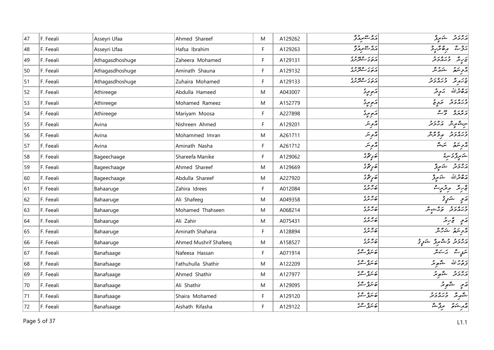| 47 | F. Feeali | Asseyri Ufaa    | Ahmed Shareef         | M           | A129262 | پره به پي <sub>م</sub> رو ژ                         | رەرو خىرو                                              |
|----|-----------|-----------------|-----------------------|-------------|---------|-----------------------------------------------------|--------------------------------------------------------|
| 48 | F. Feeali | Asseyri Ufaa    | Hafsa Ibrahim         | F           | A129263 | پره سه سرچرمۍ                                       | پرو به ده تر پرو                                       |
| 49 | F. Feeali | Athagasdhoshuge | Zaheera Mohamed       | $\mathsf F$ | A129131 | د د د _ ه پو و د<br>  پره ی سسوفرمزی                | و ره ر و<br><i>د ب</i> رگرفر<br>ائچ س <sub>ی</sub> تقر |
| 50 | F. Feeali | Athagasdhoshuge | Aminath Shauna        | F           | A129132 | بر بر بر ۱۵ بیر و <sup>ج</sup><br>در <i>می بر ک</i> | أرمره<br>ے پر شر                                       |
| 51 | F. Feeali | Athagasdhoshuge | Zuhaira Mohamed       | F           | A129133 | د د د _ ه پو و د<br>  پره ی سوترمرد                 | و رە ر د<br><i>د بر</i> د تر<br>چ ئەمرىتى<br>ئ         |
| 52 | F. Feeali | Athireege       | Abdulla Hameed        | M           | A043007 | ر<br>د حومورځ                                       | أرجع فرالله برجيعه                                     |
| 53 | F. Feeali | Athireege       | Mohamed Rameez        | M           | A152779 | بر موسر <sup>ي</sup><br>مره سر د                    | ورەرو تروی                                             |
| 54 | F. Feeali | Athireege       | Mariyam Moosa         | F           | A227898 | ر<br>مړيو سره                                       | و ده ده دور                                            |
| 55 | F. Feeali | Avina           | Nishreen Ahmed        | $\mathsf F$ | A129201 | رمحمه متر                                           | سرڪي شهر استادار جي ا                                  |
| 56 | F. Feeali | Avina           | Mohammed Imran        | M           | A261711 | لمحرمته                                             | ورەرو ھەمگىر                                           |
| 57 | F. Feeali | Avina           | Aminath Nasha         | $\mathsf F$ | A261712 | رمحمه متر                                           | أأدو الكروم أأرادهم                                    |
| 58 | F. Feeali | Bageechaage     | Shareefa Manike       | F           | A129062 | ر<br>ئەسىمى<br>ئ                                    | شەمرۇك <sup>ە</sup> بىرىكى<br>مەمرىكە                  |
| 59 | F. Feeali | Bageechaage     | Ahmed Shareef         | M           | A129669 | ر<br>ئەس ئە                                         | رەرد خىرو                                              |
| 60 | F. Feeali | Bageechaage     | Abdulla Shareef       | M           | A227920 | ے پر پچ<br>م                                        | برە قراللە خەمبەر                                      |
| 61 | F. Feeali | Bahaaruge       | Zahira Idrees         | F           | A012084 | ر پر و ،<br>ن <i>ن</i> تر د                         | ىنچ رىتى ب <sub>و</sub> رتىم يەن<br>مەنبە              |
| 62 | F. Feeali | Bahaaruge       | Ali Shafeeg           | M           | A049358 | ر و د ،<br>ن <i>ه ر</i> بو ،                        | أَمَدِ الشَّارِيْ                                      |
| 63 | F. Feeali | Bahaaruge       | Mohamed Thahseen      | M           | A068214 | ر و د د<br>ن <i>ن نر</i> و                          | وره رو ده دهید                                         |
| 64 | F. Feeali | Bahaaruge       | Ali Zahir             | M           | A075431 | ر پر و ،<br>ن <i>خ</i> تر د                         | $\frac{2}{3}$ $\frac{2}{3}$ $\frac{2}{3}$              |
| 65 | F. Feeali | Bahaaruge       | Aminath Shahana       | F           | A128894 | ر پر و ،<br>ن <i>خ</i> تر د                         | أأدرج خارج                                             |
| 66 | F. Feeali | Bahaaruge       | Ahmed Mushrif Shafeeq | M           | A158527 | ر پر د ،<br>ن گريمر                                 | رەرد دىمىرو خور                                        |
| 67 | F. Feeali | Banafsaage      | Nafeesa Hassan        | F           | A071914 | ر ره په په<br><i>ه</i> نرنو ک                       | لتروٍ سُمْ الْمُرْسَلَةِ وَالْمُسْتَمَرَّرَ            |
| 68 | F. Feeali | Banafsaage      | Fathuhulla Shathir    | M           | A122209 | ر ره په په<br>چېنرنو شو                             | ترة جرالله مشعبه تر                                    |
| 69 | F. Feeali | Banafsaage      | Ahmed Shathir         | M           | A127977 | ر ره په په<br>چېنرنو شو                             | رەرو شەر                                               |
| 70 | F. Feeali | Banafsaage      | Ali Shathir           | M           | A129095 | ر ره په په<br>چېنرنو شو                             | أقدم المشتور                                           |
| 71 | F. Feeali | Banafsaage      | Shaira Mohamed        | $\mathsf F$ | A129120 | ر ره په په<br><i>ه</i> نرنو ک                       | ڪوپٽر<br>و ر ه ر و<br>تر پر تر تر                      |
| 72 | F. Feeali | Banafsaage      | Aishath Rifasha       | F           | A129122 | ە ئىرە ئەي                                          | لأرشكم برؤيئه                                          |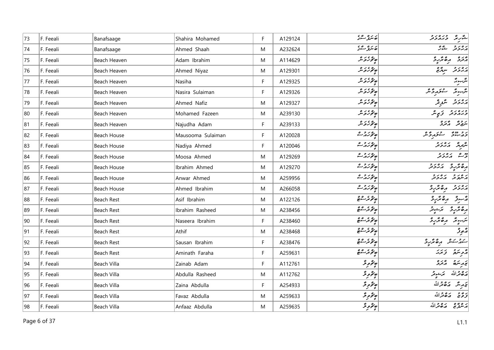| 73 | F. Feeali | Banafsaage         | Shahira Mohamed   | F           | A129124 | ئەسرۇپ ئەي                                                                                              | و ره ر و<br>تر پر ژنر<br>  ئەنگەرىتىر   |
|----|-----------|--------------------|-------------------|-------------|---------|---------------------------------------------------------------------------------------------------------|-----------------------------------------|
| 74 | F. Feeali | Banafsaage         | Ahmed Shaah       | M           | A232624 | ر ره په په<br>ځ <b>ې</b> ترنو شنې                                                                       | أبره رو مقور                            |
| 75 | F. Feeali | Beach Heaven       | Adam Ibrahim      | M           | A114629 | پەنزىر بىر                                                                                              | ء ر ه<br>مرگر<br>برە ئۆرۈ               |
| 76 | F. Feeali | Beach Heaven       | Ahmed Niyaz       | M           | A129301 | $rac{1}{2}$                                                                                             | سرژی<br>پروژبر                          |
| 77 | F. Feeali | Beach Heaven       | Nasiha            | F.          | A129325 | $rac{2}{2}$                                                                                             | مترجبة                                  |
| 78 | F. Feeali | Beach Heaven       | Nasira Sulaiman   | F.          | A129326 | پەنزىر مە                                                                                               |                                         |
| 79 | F. Feeali | Beach Heaven       | Ahmed Nafiz       | M           | A129327 | ە ئەمرىر بىر<br>م                                                                                       | رەرو شرنى                               |
| 80 | F. Feeali | Beach Heaven       | Mohamed Fazeen    | M           | A239130 | پەنزىر بىر                                                                                              | درەر زېږم                               |
| 81 | F. Feeali | Beach Heaven       | Najudha Adam      | F.          | A239133 | په مې مړ ه<br>                                                                                          | ر و په په ده و ده کلی<br>سرچي کله مرکز  |
| 82 | F. Feeali | <b>Beach House</b> | Mausooma Sulaiman | F           | A120028 | پەنزىر مە                                                                                               | د د ده در ده.                           |
| 83 | F. Feeali | <b>Beach House</b> | Nadiya Ahmed      | F.          | A120046 | $\left  \begin{array}{cc} 0 & 0 & 0 \\ 0 & \sqrt{16} & 0 \\ 0 & 0 & 0 \end{array} \right $              | أنتزمرتش أكالدوقر                       |
| 84 | F. Feeali | <b>Beach House</b> | Moosa Ahmed       | M           | A129269 | $\left  \begin{array}{cc} 0 & 0 & 0 \\ 0 & \sqrt{2} & \sqrt{2} \\ 0 & 0 & \sqrt{2} \end{array} \right $ | دو به بره د و                           |
| 85 | F. Feeali | <b>Beach House</b> | Ibrahim Ahmed     | M           | A129270 | پەنز بر م                                                                                               | ת לילק בי המכנק                         |
| 86 | F. Feeali | <b>Beach House</b> | Anwar Ahmed       | M           | A259956 | $\left  \begin{array}{cc} 0 & 0 & 0 \\ 0 & \sqrt{2} & \sqrt{2} \\ 0 & 0 & \sqrt{2} \end{array} \right $ | גם גם גם גם<br>התפת הגבת                |
| 87 | F. Feeali | <b>Beach House</b> | Ahmed Ibrahim     | M           | A266058 | ە <i>ئاجى ئە</i> رمىسى                                                                                  | גפגב גם ביב                             |
| 88 | F. Feeali | <b>Beach Rest</b>  | Asif Ibrahim      | M           | A122126 | پەنجو بىر مەھ                                                                                           | دە ئەرچ<br>ۇسىۋ                         |
| 89 | F. Feeali | <b>Beach Rest</b>  | Ibrahim Rasheed   | M           | A238456 | پەنج <sub>ە</sub> ئىرىمى<br>                                                                            | ەر ھەترىر <i>2</i><br>ىمەسىيە قىر<br>ئى |
| 90 | F. Feeali | <b>Beach Rest</b>  | Naseera Ibrahim   | F           | A238460 | $rac{c}{c}$                                                                                             | ىئەسىزىگە<br>س<br>ەر ھەترىر <i>ۋ</i>    |
| 91 | F. Feeali | <b>Beach Rest</b>  | Athif             | M           | A238468 | $\left  \begin{array}{cc} 0 & 0 & 0 \\ 0 & 0 & \sqrt{2} \\ 0 & 0 & \sqrt{2} \end{array} \right $        | پر پورې<br>مربحو                        |
| 92 | F. Feeali | Beach Rest         | Sausan Ibrahim    | F.          | A238476 | $rac{1}{2}$                                                                                             | سەرسىس مەھىرىد                          |
| 93 | F. Feeali | <b>Beach Rest</b>  | Aminath Faraha    | $\mathsf F$ | A259631 | $rac{1}{2}$                                                                                             | أزويني وتمدر                            |
| 94 | F. Feeali | Beach Villa        | Zainab Adam       | F           | A112761 | <br> چ <sup>ر</sup> گرمرمگر                                                                             | نج مر سرچ<br>ەردە                       |
| 95 | F. Feeali | Beach Villa        | Abdulla Rasheed   | M           | A112762 | ە پەھ بەرگە<br>ئ                                                                                        | رەقمەللە ئىنوم                          |
| 96 | F. Feeali | Beach Villa        | Zaina Abdulla     | F           | A254933 | ە پەھ بەقتە<br>ئ                                                                                        | تج مرتثر كد محافظه                      |
| 97 | F. Feeali | Beach Villa        | Favaz Abdulla     | M           | A259633 | <br> تۇمھرىمە                                                                                           | وحوم وكافرالله                          |
| 98 | F. Feeali | Beach Villa        | Anfaaz Abdulla    | M           | A259635 | <br> حو <sup>ر</sup> گرمرمگر                                                                            | برعويم بره قرالله                       |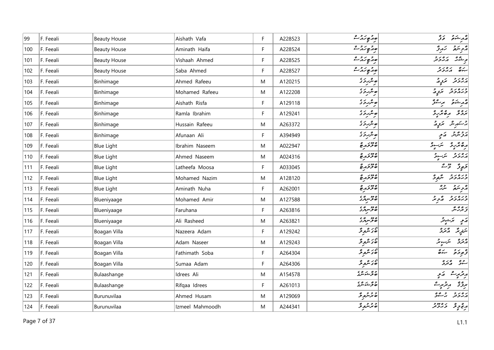| 99  | F. Feeali | <b>Beauty House</b> | Aishath Vafa    | F  | A228523 | ەرمۇرىر م                     |                                                  |
|-----|-----------|---------------------|-----------------|----|---------|-------------------------------|--------------------------------------------------|
| 100 | F. Feeali | <b>Beauty House</b> | Aminath Haifa   | F. | A228524 |                               | أرمز<br>ترەر بى                                  |
| 101 | F. Feeali | <b>Beauty House</b> | Vishaah Ahmed   | F. | A228525 | مەھم ئەممى                    | أحرشيه<br>پرور و                                 |
| 102 | F. Feeali | <b>Beauty House</b> | Saba Ahmed      | F  | A228527 | وروسي ئەرم                    | $7.01$ $-2.0$                                    |
| 103 | F. Feeali | Binhimage           | Ahmed Rafeeu    | M  | A120215 | ه شرر در<br>م                 | درو د ټرو پر                                     |
| 104 | F. Feeali | Binhimage           | Mohamed Rafeeu  | M  | A122208 | ھ مر بر دی<br>مر              | ورەرو برړو                                       |
| 105 | F. Feeali | Binhimage           | Aishath Risfa   | F  | A129118 | ه شرر د ،<br>م                | وكمرشكة برسكو                                    |
| 106 | F. Feeali | Binhimage           | Ramla Ibrahim   | F  | A129241 | ه شریره<br>م                  | بروى مەھرىرو                                     |
| 107 | F. Feeali | Binhimage           | Hussain Rafeeu  | M  | A263372 | ه شرر در<br>موسر در           | 2 سەر شىر تەرچ                                   |
| 108 | F. Feeali | Binhimage           | Afunaan Ali     | F. | A394949 | ه شریره د                     | برویژیز پرو                                      |
| 109 | F. Feeali | <b>Blue Light</b>   | Ibrahim Naseem  | M  | A022947 | ە دور ھ<br> ھۆخەرى            | رە ئرىر ئىسرى                                    |
| 110 | F. Feeali | <b>Blue Light</b>   | Ahmed Naseem    | M  | A024316 | ە دوبر ھ                      | أرەر ئەسوق                                       |
| 111 | F. Feeali | <b>Blue Light</b>   | Latheefa Moosa  | F  | A033045 | ە دوبر ھ                      | ى ھەرقە ئەسىگە                                   |
| 112 | F. Feeali | <b>Blue Light</b>   | Mohamed Nazim   | M  | A128120 | ە دور ھ<br>ھىرىگرمى           | و ر ه ر و<br>تر پر ژنر<br>سگەد                   |
| 113 | F. Feeali | <b>Blue Light</b>   | Aminath Nuha    | F  | A262001 |                               | أأرم المحمد المراجح                              |
| 114 | F. Feeali | Blueniyaage         | Mohamed Amir    | M  | A127588 | وجو سر محر<br>                | 2 2 2 2012                                       |
| 115 | F. Feeali | Blueniyaage         | Faruhana        | F  | A263816 | ەددىرىگە                      | ىز جەشەتتىر                                      |
| 116 | F. Feeali | Blueniyaage         | Ali Rasheed     | M  | A263821 | 20 مرمر <sup>ی</sup>          | كالمحي المخاطبون                                 |
| 117 | F. Feeali | Boagan Villa        | Nazeera Adam    | F  | A129242 | صى سر <sub>ى</sub> ئە         | پر ہ<br>مرکزو<br>ىئىن <sub>ىر</sub> ىتى<br>سىنبە |
| 118 | F. Feeali | Boagan Villa        | Adam Naseer     | M  | A129243 | 2 - مره محر                   | پەرە<br>مەنىرى<br>ىئرسېرىتر                      |
| 119 | F. Feeali | Boagan Villa        | Fathimath Soba  | F  | A264304 | جو بر عروگر                   | ۇ بەرد بەش                                       |
| 120 | F. Feeali | Boagan Villa        | Sumaa Adam      | F  | A264306 | 22 يىمبرى <del>گە</del>       | ر ده په ده د                                     |
| 121 | F. Feeali | Bulaashange         | Idrees Ali      | M  | A154578 | ە ئۇينەمرى<br>ھۆشەمىرى        | ەرتىرىش مەر<br>مەسىم مەر                         |
| 122 | F. Feeali | Bulaashange         | Rifqaa Idrees   | F  | A261013 | ە ئۇيئەمرى                    | ابرویچ<br>په<br>ىر قرىبە ب                       |
| 123 | F. Feeali | Burunuvilaa         | Ahmed Husam     | M  | A129069 | صمر سر مر محر<br>  حامر سر مر | ر ه ر د<br>م.روتر<br>چە شەھ                      |
| 124 | F. Feeali | Burunuvilaa         | Izmeel Mahmoodh | M  | A244341 | ە ئەسرە ئە                    |                                                  |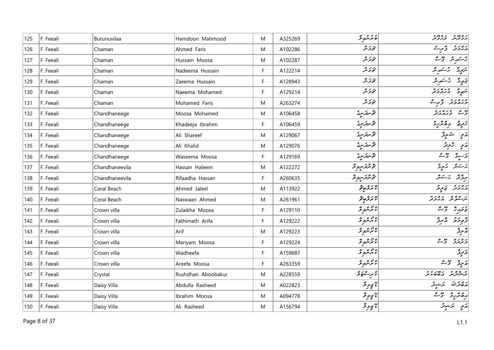| 125 | F. Feeali | Burunuvilaa    | Hamdoon Mahmood    | M           | A325269 | ە بەر بىرىدۇ.                         |                                                                                                       |
|-----|-----------|----------------|--------------------|-------------|---------|---------------------------------------|-------------------------------------------------------------------------------------------------------|
| 126 | F. Feeali | Chaman         | Ahmed Faris        | M           | A102286 | ىئە ئەشر                              | رەرد ۋىرے                                                                                             |
| 127 | F. Feeali | Chaman         | Hussain Moosa      | M           | A102287 | ىجە خەشر                              | برستهر شد وحسة                                                                                        |
| 128 | F. Feeali | Chaman         | Nadeema Hussain    | F.          | A122214 | ىجە خەشر                              | پر<br>سرچرد<br>جر <u>سئ</u> و بىر                                                                     |
| 129 | F. Feeali | Chaman         | Zaeema Hussain     | $\mathsf F$ | A128943 | ىمەر ھ                                | $\frac{3a\epsilon}{2\pi}$<br>برسكهرمثر                                                                |
| 130 | F. Feeali | Chaman         | Naeema Mohamed     | F           | A129214 | ىمەترىش                               | و ره ر و<br>تر پر ژنو                                                                                 |
| 131 | F. Feeali | Chaman         | Mohamed Faris      | M           | A263274 | ىئەر بىر                              | ورەرو ۋىرگ                                                                                            |
| 132 | F. Feeali | Chandhaneege   | Moosa Mohamed      | M           | A106458 | كۇسىرىسىد                             | ور ورەرو                                                                                              |
| 133 | F. Feeali | Chandhaneege   | Khadeeja Ibrahim   | F           | A106459 | كۇسرىر سرچ                            | أنروغ وه عمره                                                                                         |
| 134 | F. Feeali | Chandhaneege   | Ali Shareef        | M           | A129067 | كۇسرىرَ سرچ                           |                                                                                                       |
| 135 | F. Feeali | Chandhaneege   | Ali Khalid         | M           | A129076 | كۇسرىرَ سرىگە                         | ړې خپرو<br>دې خپرو                                                                                    |
| 136 | F. Feeali | Chandhaneege   | Waseema Moosa      | $\mathsf F$ | A129169 | ڭرىس <i>قرىپى</i> دىگە                | $\overline{\mathcal{Z}_{\mathcal{P}}^{\mathcal{P}}\mathcal{Z}_{\mathcal{P}}^{\mathcal{P}}}}$<br>درمیز |
| 137 | F. Feeali | Chandhaneevila | Hassan Haleem      | M           | A122272 | ڭۇنىزىبرە ئە                          | ىز سەش برىپ                                                                                           |
| 138 | F. Feeali | Chandhaneevila | Rifaadha Hassan    | $\mathsf F$ | A260635 | ى<br>ئۇشرىئەسرە ئى                    | ىرۇق ئەسكىر                                                                                           |
| 139 | F. Feeali | Coral Beach    | Ahmed Jaleel       | M           | A113922 | بر بر و <sub>مو</sub> رد<br>م         | د د د د نوی                                                                                           |
| 140 | F. Feeali | Coral Beach    | Naswaan Ahmed      | M           | A261961 | بيو پر و <sub>ھو</sub> پ <sub>و</sub> | ىر قەم بەر دەر د                                                                                      |
| 141 | F. Feeali | Crown villa    | Zulaikha Moosa     | $\mathsf F$ | A129110 | ە بىر مىرىدىگە                        | وحرثة<br>ح ئۇم <sup>رىش</sup><br>سىمبىرىشى                                                            |
| 142 | F. Feeali | Crown villa    | Fathimath Arifa    | F           | A129222 | <br> لا تر متر <sub>جر</sub> محر      | توجودة<br>ەر بورتى                                                                                    |
| 143 | F. Feeali | Crown villa    | Arif               | M           | A129223 | ەممە ش <sub>ەر</sub> ىخە              | ومجمعر                                                                                                |
| 144 | F. Feeali | Crown villa    | Mariyam Moosa      | F           | A129224 | ە ئەبىرىم <i>و</i> ئە                 | ر ه ر ه<br><del>و</del> بربرو<br>دو مح                                                                |
| 145 | F. Feeali | Crown villa    | Wadheefa           | $\mathsf F$ | A159687 | ەم ئەشھەقە                            |                                                                                                       |
| 146 | F. Feeali | Crown villa    | Areefa Moosa       | $\mathsf F$ | A263359 | ە ج <sub>ە تىرموقە</sub>              | ر وروژ<br>د وروژ<br>د بروژ<br>ديسته                                                                   |
| 147 | F. Feeali | Crystal        | Rushdhan Aboobakur | M           | A228559 | ء <sub>مو</sub> ر <u>ہ ء</u> و        | و و د د در د د<br>بر شوترس م <i>ن ۱۵۵ ب</i> ر                                                         |
| 148 | F. Feeali | Daisy Villa    | Abdulla Rasheed    | M           | A022823 | ېم په موڅه<br>موځ                     | ره والله مرشومر<br>صرحه الله مرشومر                                                                   |
| 149 | F. Feeali | Daisy Villa    | Ibrahim Moosa      | M           | A094778 | بې په عرقر<br>پېښې                    | ەر ھەترىر <i>2</i><br>دينه مشر                                                                        |
| 150 | F. Feeali | Daisy Villa    | Ali Rasheed        | M           | A156794 | يې پى پەرتى<br>ئاسىچە ب               | كالمحمج المخرجة وتمر                                                                                  |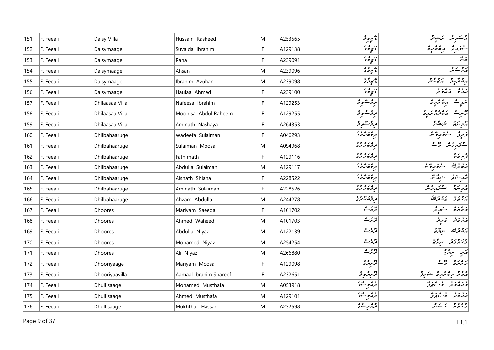| 151 | F. Feeali | Daisy Villa     | Hussain Rasheed        | M           | A253565 | مې موم <b>ت</b> ر<br>مور                                                                    | بر کشور مرکباری<br>بر کشور مرکباری<br>سورتر بره مرکباری |
|-----|-----------|-----------------|------------------------|-------------|---------|---------------------------------------------------------------------------------------------|---------------------------------------------------------|
| 152 | F. Feeali | Daisymaage      | Suvaida Ibrahim        | F           | A129138 | )<br>پاسم پیونزی                                                                            | تتفرقر                                                  |
| 153 | F. Feeali | Daisymaage      | Rana                   | F           | A239091 | $\overline{\mathcal{E}^{\mathscr{E}}_{\mathscr{E}}\mathcal{E}^{\mathscr{E}}_{\mathscr{E}}}$ | بزيتر                                                   |
| 154 | F. Feeali | Daisymaage      | Ahsan                  | M           | A239096 | )» سرچری<br>  ناسخ تر <sub>ک</sub>                                                          | رەپە                                                    |
| 155 | F. Feeali | Daisymaage      | Ibrahim Azuhan         | M           | A239098 | ا» سرچری<br>  ناسخ ترک                                                                      | پره پر مګر<br>ە ھەترىرى<br>رەھىرىرى                     |
| 156 | F. Feeali | Daisymaage      | Haulaa Ahmed           | F           | A239100 | )» سرچری<br>  ناسخ تر <sub>ک</sub>                                                          | $5.001$ $5.02$                                          |
| 157 | F. Feeali | Dhilaasaa Villa | Nafeesa Ibrahim        | F           | A129253 | <br>  مرگ <sup>7</sup> مرگ                                                                  | ىئرېت رەقترىرى                                          |
| 158 | F. Feeali | Dhilaasaa Villa | Moonisa Abdul Raheem   | F           | A129255 | تورۇشىمو ۋ                                                                                  | מינה מסינות ס                                           |
| 159 | F. Feeali | Dhilaasaa Villa | Aminath Nashaya        | F           | A264353 | مرتَرْ سَنْهِ تَرَ                                                                          | أأدو سكر المحمد المستقر                                 |
| 160 | F. Feeali | Dhilbahaaruge   | Wadeefa Sulaiman       | $\mathsf F$ | A046293 | و د و و و و<br>مرمون تر بو و                                                                | ەر ئەرگە ئەر                                            |
| 161 | F. Feeali | Dhilbahaaruge   | Sulaiman Moosa         | M           | A094968 | ه در ۶ و ۷<br>ترنون تر بو ۲                                                                 | ر دېم د هغه د مخت                                       |
| 162 | F. Feeali | Dhilbahaaruge   | Fathimath              | F           | A129116 | و در ۶ و ۷<br>درمر <i>ه ر</i> بر <sub>ک</sub>                                               | و<br>و جو حرم                                           |
| 163 | F. Feeali | Dhilbahaaruge   | Abdulla Sulaiman       | M           | A129117 | ه در ۶ و ۷<br>درگرفت تر بور                                                                 | رەم الله سىزىرگىر                                       |
| 164 | F. Feeali | Dhilbahaaruge   | Aishath Shiana         | $\mathsf F$ | A228522 | ه د ۶ و ۶<br>ترنون ر بو د                                                                   | د<br>مەرسىنى سىمەتىر                                    |
| 165 | F. Feeali | Dhilbahaaruge   | Aminath Sulaiman       | F           | A228526 | ه در ۶ و ۷<br>درمر <i>ه ر</i> بر <sub>ک</sub>                                               | ە ئەستىھ سىغىر ئەش                                      |
| 166 | F. Feeali | Dhilbahaaruge   | Ahzam Abdulla          | M           | A244278 | ه در ۶ و ۷<br>درگرفت تر بور                                                                 | مَە قراللّه<br>ر ه ر ه<br>مربر مح                       |
| 167 | F. Feeali | <b>Dhoores</b>  | Mariyam Saeeda         | $\mathsf F$ | A101702 | دد ۽ ه                                                                                      | ر ه ر ه<br><del>و</del> بربرو<br>سە پەتىر               |
| 168 | F. Feeali | <b>Dhoores</b>  | Ahmed Waheed           | M           | A101703 | دو ۽ ه                                                                                      | رەرو رىد                                                |
| 169 | F. Feeali | <b>Dhoores</b>  | Abdulla Niyaz          | M           | A122139 | دد ی ه                                                                                      | برە دالله<br>سردسم                                      |
| 170 | F. Feeali | <b>Dhoores</b>  | Mohamed Niyaz          | M           | A254254 | لترترعه                                                                                     | כנסנב תמש                                               |
| 171 | F. Feeali | <b>Dhoores</b>  | Ali Niyaz              | M           | A266880 | دو ۽ ه                                                                                      |                                                         |
| 172 | F. Feeali | Dhooriyaage     | Mariyam Moosa          | $\mathsf F$ | A129098 | ود<br>تر مر پر د                                                                            | د ه ده دورم                                             |
| 173 | F. Feeali | Dhooriyaavilla  | Aamaal Ibrahim Shareef | F           | A232651 | ود بر پڑ <sub>ھ پ</sub> ڑ                                                                   | ړونو ره ټرېو ځویږ                                       |
| 174 | F. Feeali | Dhullisaage     | Mohamed Musthafa       | M           | A053918 | قرۇ بويىتى ئى                                                                               | ورەرو وەرە<br>جەيدونر وجوز                              |
| 175 | F. Feeali | Dhullisaage     | Ahmed Musthafa         | M           | A129101 | لتروع يستحمحه                                                                               | ح پ ه بر پر<br>پرور و                                   |
| 176 | F. Feeali | Dhullisaage     | Mukhthar Hassan        | M           | A232598 | لتروم مستحم                                                                                 | ودەپر برىكە                                             |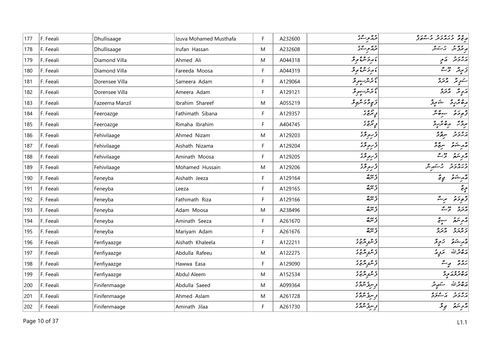| 177 | F. Feeali | Dhullisaage    | Izuva Mohamed Musthafa | F. | A232600 | قرۇمۇستىمى                               | $\begin{pmatrix} 0 & 0 & 0 & 0 & 0 & 0 & 0 \\ 0 & 0 & 0 & 0 & 0 & 0 & 0 \\ 0 & 0 & 0 & 0 & 0 & 0 & 0 \\ 0 & 0 & 0 & 0 & 0 & 0 & 0 \\ 0 & 0 & 0 & 0 & 0 & 0 & 0 \\ 0 & 0 & 0 & 0 & 0 & 0 & 0 \\ 0 & 0 & 0 & 0 & 0 & 0 & 0 \\ 0 & 0 & 0 & 0 & 0 & 0 & 0 \\ 0 & 0 & 0 & 0 & 0 & 0 & 0 \\ 0 & 0 & 0 & 0 & 0 & 0 & 0 \\ 0 & $ |
|-----|-----------|----------------|------------------------|----|---------|------------------------------------------|--------------------------------------------------------------------------------------------------------------------------------------------------------------------------------------------------------------------------------------------------------------------------------------------------------------------------|
| 178 | F. Feeali | Dhullisaage    | Irufan Hassan          | M  | A232608 | ترو عبر يحيى                             | پروژنتر برخانی                                                                                                                                                                                                                                                                                                           |
| 179 | F. Feeali | Diamond Villa  | Ahmed Ali              | M  | A044318 | ئەر ئەشۋىر ئە                            | دەرد كې                                                                                                                                                                                                                                                                                                                  |
| 180 | F. Feeali | Diamond Villa  | Fareeda Moosa          | F  | A044319 | ،<br>، مرځ مرغ <sub>حر</sub> ځ           | ۇ پرىگە ج                                                                                                                                                                                                                                                                                                                |
| 181 | F. Feeali | Dorensee Villa | Sameera Adam           | F  | A129064 | م محمد شعور محمد المحمد المحمد<br>المسيح | سەھەتىر<br>پر ہ<br>مرتزو                                                                                                                                                                                                                                                                                                 |
| 182 | F. Feeali | Dorensee Villa | Ameera Adam            | F  | A129121 | مې شر <sub>ىسىدى</sub> ئە                | أرْحِ بْمُ الْمُعْرَى                                                                                                                                                                                                                                                                                                    |
| 183 | F. Feeali | Fazeema Manzil | Ibrahim Shareef        | M  | A055219 | ئۇ ئەڭ ئىسى ئى                           | رەنزىرو شەيرۇ                                                                                                                                                                                                                                                                                                            |
| 184 | F. Feeali | Feeroazge      | Fathimath Sibana       | F  | A129357 | و ۵ ۵ و،<br>و مربع د                     |                                                                                                                                                                                                                                                                                                                          |
| 185 | F. Feeali | Feeroazge      | Rimaha Ibrahim         | F  | A404745 | و ۵ ۵ م<br>م <sub>و</sub> تریخ د         | $\frac{2}{3}$                                                                                                                                                                                                                                                                                                            |
| 186 | F. Feeali | Fehivilaage    | Ahmed Nizam            | M  | A129203 | ۇروڭۇ                                    | بر 2 بر 1<br>م.بر <del>5</del> تر<br>سرچو                                                                                                                                                                                                                                                                                |
| 187 | F. Feeali | Fehivilaage    | Aishath Nizama         | F  | A129204 | ۇر <sub>مو</sub> مۇ ئ                    | پ <sup>و</sup> مرشومو<br>م<br>سرچ و                                                                                                                                                                                                                                                                                      |
| 188 | F. Feeali | Fehivilaage    | Aminath Moosa          | F  | A129205 | ۇر <sub>ەر ب</sub> ۇ ئ                   | أزوينهم وحمش                                                                                                                                                                                                                                                                                                             |
| 189 | F. Feeali | Fehivilaage    | Mohamed Hussain        | M  | A129206 | ۇروڭۇ                                    | ورەرو ورىم                                                                                                                                                                                                                                                                                                               |
| 190 | F. Feeali | Feneyba        | Aishath Jeeza          | F  | A129164 | ی ن ره<br>تو سر <b>ه</b>                 |                                                                                                                                                                                                                                                                                                                          |
| 191 | F. Feeali | Feneyba        | Leeza                  | F  | A129165 | ی یں بہ<br>تو سرے                        | $\overline{\tilde{\xi}_{\zeta}$                                                                                                                                                                                                                                                                                          |
| 192 | F. Feeali | Feneyba        | Fathimath Riza         | F  | A129166 | ی یرو<br>تو سر <del>ہ</del>              | يم بر د<br>ترجو جا جو<br>برت                                                                                                                                                                                                                                                                                             |
| 193 | F. Feeali | Feneyba        | Adam Moosa             | M  | A238496 | ی یں بھ<br>تو سرت                        | وره دورم<br>معرو ومث                                                                                                                                                                                                                                                                                                     |
| 194 | F. Feeali | Feneyba        | Aminath Seeza          | F. | A261670 | ی یں بھ<br>تو سرت                        | أثرىر يترة<br>سيچ                                                                                                                                                                                                                                                                                                        |
| 195 | F. Feeali | Feneyba        | Mariyam Adam           | F  | A261676 | ی یرو<br>تو سر <del>ہ</del>              | وبروره<br>په بر ه<br>مرکز                                                                                                                                                                                                                                                                                                |
| 196 | F. Feeali | Fenfiyaazge    | Aishath Khaleela       | F. | A122211 | ئۇ شرىر ش <sup>ىرى</sup> ئ               | أمار ينكفي الكافية                                                                                                                                                                                                                                                                                                       |
| 197 | F. Feeali | Fenfiyaazge    | Abdulla Rafeeu         | M  | A122275 | ء عروج دي.<br> و سرو پر پي               | برە دالله تروپر                                                                                                                                                                                                                                                                                                          |
| 198 | F. Feeali | Fenfiyaazge    | Hawwa Easa             | F  | A129090 | ې هرو پر دې<br>د شرو پر پر د             | برەپج پېستە                                                                                                                                                                                                                                                                                                              |
| 199 | F. Feeali | Fenfiyaazge    | Abdul Aleem            | M  | A152534 | ع شروع دي.<br> تر شر <sub>و</sub> شيخ د  | ره وه ر<br>په مرکز پر ک                                                                                                                                                                                                                                                                                                  |
| 200 | F. Feeali | Finifenmaage   | Abdulla Saeed          | M  | A099364 | اربىر ئىقى                               | أرە قراللە كەرتر                                                                                                                                                                                                                                                                                                         |
| 201 | F. Feeali | Finifenmaage   | Ahmed Aslam            | M  | A261728 | اربىر قىمدى                              | ر ە ر د<br>م.رو تر<br>برمشوقر                                                                                                                                                                                                                                                                                            |
| 202 | F. Feeali | Finifenmaage   | Aminath Jilaa          | F  | A261730 | ر سرگە شر <sup>ى</sup> گە                | أأرم يتمرقه ويتحر                                                                                                                                                                                                                                                                                                        |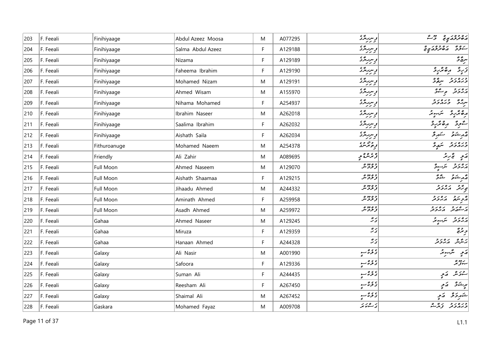| 203 | F. Feeali | Finihiyaage  | Abdul Azeez Moosa | M         | A077295 | او سربر و ۽<br><u>سبب</u>  | ג 2020 - 2020 - 2020 - 2020 - 2020 - 2020 - 2020 - 2020 - 2020 - 2020 - 2020 - 2020 - 2020 - 2020 - 2020 - 20       |
|-----|-----------|--------------|-------------------|-----------|---------|----------------------------|---------------------------------------------------------------------------------------------------------------------|
| 204 | F. Feeali | Finihiyaage  | Salma Abdul Azeez | F         | A129188 | و سربر پژی<br>زیر بر       | ر <i>פ</i> י הסיקיבות ס                                                                                             |
| 205 | F. Feeali | Finihiyaage  | Nizama            | F         | A129189 | و سربر پژی<br>تر بر بر     | سرچينې                                                                                                              |
| 206 | F. Feeali | Finihiyaage  | Faheema Ibrahim   | F         | A129190 | و سربر پژی<br>بر بر بر     | تر ر <sup>يج</sup><br>تر<br>برە ئۆرۈ                                                                                |
| 207 | F. Feeali | Finihiyaage  | Mohamed Nizam     | M         | A129191 | او مدر پروژه<br><u>گرس</u> | ورەرو سۇۋ                                                                                                           |
| 208 | F. Feeali | Finihiyaage  | Ahmed Wisam       | M         | A155970 | و سربر پژی<br>بر بر بر     | برەرد پەشتى                                                                                                         |
| 209 | F. Feeali | Finihiyaage  | Nihama Mohamed    | F         | A254937 | و سربر پژی<br>تر بر بر     | سرجو وره دو                                                                                                         |
| 210 | F. Feeali | Finihiyaage  | Ibrahim Naseer    | M         | A262018 | و سربر پر مح<br>مربر بر    | رە ئەر ئەسىر                                                                                                        |
| 211 | F. Feeali | Finihiyaage  | Saalima Ibrahim   | F         | A262032 | او سربر پر دی<br>اب        |                                                                                                                     |
| 212 | F. Feeali | Finihiyaage  | Aishath Saila     | F         | A262034 | او مدر دي.<br><u>سبب</u>   | وكرمشكم التسرقر                                                                                                     |
| 213 | F. Feeali | Fithuroanuge | Mohamed Naeem     | M         | A254378 | ر وه ور.<br>پوهوسر         | وره دو کرده                                                                                                         |
| 214 | F. Feeali | Friendly     | Ali Zahir         | M         | A089695 | <i>وېم</i> مروم په         | $\frac{2}{3}$ $\frac{2}{3}$ $\frac{2}{3}$                                                                           |
| 215 | F. Feeali | Full Moon    | Ahmed Naseem      | M         | A129070 | د ه دد ه<br>نو پر ش        | رەرد برگو                                                                                                           |
| 216 | F. Feeali | Full Moon    | Aishath Shaamaa   | F         | A129215 | و ه دو ه<br>تو نو د س      | و د شو شو د منځنگر                                                                                                  |
| 217 | F. Feeali | Full Moon    | Jihaadu Ahmed     | M         | A244332 | د ه دو ه<br>نو مرد ش       | يې رگ پر دې د د                                                                                                     |
| 218 | F. Feeali | Full Moon    | Aminath Ahmed     | F         | A259958 | د ه دد ه<br>نو مرد مگر     | ومحاصر والمردح ومرادح                                                                                               |
| 219 | F. Feeali | Full Moon    | Asadh Ahmed       | M         | A259972 | د ه دد ه<br>نو پر ش        | بر ۲۵ در در در                                                                                                      |
| 220 | F. Feeali | Gahaa        | Ahmed Naseer      | ${\sf M}$ | A129245 | ىرچ                        | دەرو سكىبولىر                                                                                                       |
| 221 | F. Feeali | Gahaa        | Miruza            | F         | A129359 | ىرچ                        | $\overline{\begin{matrix} \stackrel{\circ}{\sim} \\ \stackrel{\circ}{\sim} \\ \stackrel{\circ}{\sim} \end{matrix}}$ |
| 222 | F. Feeali | Gahaa        | Hanaan Ahmed      | F         | A244328 | ىرچ                        | برېږ<br>بر ٥ پر و<br>م <i>ر</i> بر <del>و</del> تر                                                                  |
| 223 | F. Feeali | Galaxy       | Ali Nasir         | M         | A001990 | <br> د څرم په              | ەكىيە سىگە يىلىمى<br>مەسىمە                                                                                         |
| 224 | F. Feeali | Galaxy       | Safoora           | F         | A129336 | دی ده پ                    | ىبەدىرىم                                                                                                            |
| 225 | F. Feeali | Galaxy       | Suman Ali         | F         | A244435 | <br> دىگە ئىس              | جۇندا مەر                                                                                                           |
| 226 | F. Feeali | Galaxy       | Reesham Ali       | F         | A267450 | ائوفراسير                  | برشكافي أيكمح                                                                                                       |
| 227 | F. Feeali | Galaxy       | Shaimal Ali       | M         | A267452 | دې ده پ                    | شكرة في المجمع                                                                                                      |
| 228 | F. Feeali | Gaskara      | Mohamed Fayaz     | M         | A009708 | ى سەئەتكە                  | ورەر دېر ش                                                                                                          |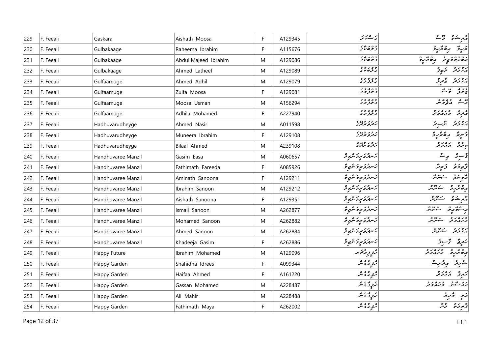| 229 | F. Feeali | Gaskara            | Aishath Moosa        | F  | A129345 | ى سەئەتىر                                                                                                                                                                                                                       |                                                        |
|-----|-----------|--------------------|----------------------|----|---------|---------------------------------------------------------------------------------------------------------------------------------------------------------------------------------------------------------------------------------|--------------------------------------------------------|
| 230 | F. Feeali | Gulbakaage         | Raheema Ibrahim      | F  | A115676 | و ه رپو ء<br>د <del>تر</del> ځاند                                                                                                                                                                                               | بربرڈ ارھ برار                                         |
| 231 | F. Feeali | Gulbakaage         | Abdul Majeed Ibrahim | M  | A129086 | وه رپر د<br>د <del>گر</del> ه مړ                                                                                                                                                                                                | קס פסק פרי הסיק קי                                     |
| 232 | F. Feeali | Gulbakaage         | Ahmed Latheef        | M  | A129089 | و و ر پر ۽<br>ي <del>تر</del> ه ما <sub>ک</sub>                                                                                                                                                                                 | پروژ د پوژ                                             |
| 233 | F. Feeali | Gulfaamuge         | Ahmed Adhil          | M  | A129079 | د ه و د د ،<br>د ترتر تر د                                                                                                                                                                                                      | ر ەر د<br>م.روتر<br>ەگەرى                              |
| 234 | F. Feeali | Gulfaamuge         | Zulfa Moosa          | F  | A129081 | و ه و و د<br>د ترتر تر د                                                                                                                                                                                                        | درمیه<br>وە بە<br>يى نرگ                               |
| 235 | F. Feeali | Gulfaamuge         | Moosa Usman          | M  | A156294 | د ه و و ء<br>د ترتو د د                                                                                                                                                                                                         | در ده در د                                             |
| 236 | F. Feeali | Gulfaamuge         | Adhila Mohamed       | F  | A227940 | وه پر و ،<br>د موتو و د                                                                                                                                                                                                         | و رە ر د<br>تر پروتر<br>ەر ئىرقى                       |
| 237 | F. Feeali | Hadhuvarudheyge    | Ahmed Nasir          | M  | A011598 | ر و ر ودړ ،<br>رتوح موتوى                                                                                                                                                                                                       | رەرو شەر                                               |
| 238 | F. Feeali | Hadhuvarudheyge    | Muneera Ibrahim      | F  | A129108 | ر و ر وړ،  ،<br>رتوح مرتوى                                                                                                                                                                                                      | دە ئەرد<br>د سرپر                                      |
| 239 | F. Feeali | Hadhuvarudheyge    | <b>Bilaal Ahmed</b>  | M  | A239108 | ر و ر وړ،  ،<br>رتوح مرتوى                                                                                                                                                                                                      | حوثر فر<br>ەر دىر                                      |
| 240 | F. Feeali | Handhuvaree Manzil | Gasim Easa           | M  | A060657 | ئەس <i>تىرۇ بېرۇ</i> شب <i>و</i> ۋ                                                                                                                                                                                              | و گەسىدى<br>م<br>رية<br>مراجع                          |
| 241 | F. Feeali | Handhuvaree Manzil | Fathimath Fareeda    | F. | A085926 | ر ٔ سرز <i>و کم</i> ر د کرد و گر                                                                                                                                                                                                | ۇ بوز <sub>ە</sub><br>تى موتىر                         |
| 242 | F. Feeali | Handhuvaree Manzil | Aminath Sanoona      | F  | A129211 | ر <i>سرقری پر 5 نگر</i> ی گ                                                                                                                                                                                                     | أأرمره<br>سە چۆپىر                                     |
| 243 | F. Feeali | Handhuvaree Manzil | Ibrahim Sanoon       | M  | A129212 | ر <i>سرقرى پر د</i> شر <sub>ى</sub> ر د                                                                                                                                                                                         | ە ھەترىر <sup>ە</sup><br>سەيترىتر                      |
| 244 | F. Feeali | Handhuvaree Manzil | Aishath Sanoona      | F  | A129351 | ر <i>سرقرى پر د ن</i> گىرى د                                                                                                                                                                                                    | و مر شو د<br>مرم شو د<br>سەمىرىتر                      |
| 245 | F. Feeali | Handhuvaree Manzil | Ismail Sanoon        | M  | A262877 | ئەس <i>ترۇ ئېرى شىر</i> قى                                                                                                                                                                                                      | سەمىرىر<br>وستحمي                                      |
| 246 | F. Feeali | Handhuvaree Manzil | Mohamed Sanoon       | M  | A262882 | ئەس <i>ترۇ ئېرى ئىببى</i> ئ                                                                                                                                                                                                     | و ر ه ر د<br><i>و پر</i> پر <del>و</del> تر<br>کے پژیو |
| 247 | F. Feeali | Handhuvaree Manzil | Ahmed Sanoon         | M  | A262884 | ئەس <i>تىرى بېرى شىر</i> ق                                                                                                                                                                                                      | سەمىرىگر<br>ەرەر د                                     |
| 248 | F. Feeali | Handhuvaree Manzil | Khadeeja Gasim       | F. | A262886 | ر <i>سوژو پر د</i> شر <sub>م</sub> و                                                                                                                                                                                            | تزمريح كمح سوو                                         |
| 249 | F. Feeali | Happy Future       | Ibrahim Mohamed      | M  | A129096 | ر و د د مخوسر<br>مسیح مر                                                                                                                                                                                                        | و ر ه ر د<br>تر پر ژ تر<br>ە ھەترىرى<br>برھەترىرى      |
| 250 | F. Feeali | Happy Garden       | Shahidha Idrees      | F  | A099344 | اءِ په دې چې په په کال کې د کالو کې د کالو کې د کالو کې د کالو کې د کالو کې د کالو کړې کالو کړې کالو کړې کالو<br>مرکزې کولو کې کولو کې د کالو کړې کولو کړې کولو کړې کولو کړې کو بالو کړې کوچکو کړې کوچکو کړې کوچکو کو لري کوچکو | ڪ رقر<br>ەر تەرىپە ب                                   |
| 251 | F. Feeali | Happy Garden       | Haifaa Ahmed         | F  | A161220 | اءِ په دې چې په په مختلف ک                                                                                                                                                                                                      | ائەر ئەرزە                                             |
| 252 | F. Feeali | Happy Garden       | Gassan Mohamed       | M  | A228487 | اء په دې چې په په ک                                                                                                                                                                                                             | ده شهر وره دو                                          |
| 253 | F. Feeali | Happy Garden       | Ali Mahir            | M  | A228488 | رېږ ئه نمکر                                                                                                                                                                                                                     | $\frac{2}{3}$ $\frac{2}{3}$                            |
| 254 | F. Feeali | Happy Garden       | Fathimath Maya       | F. | A262002 | ې په دي کار                                                                                                                                                                                                                     | وً و دو دو                                             |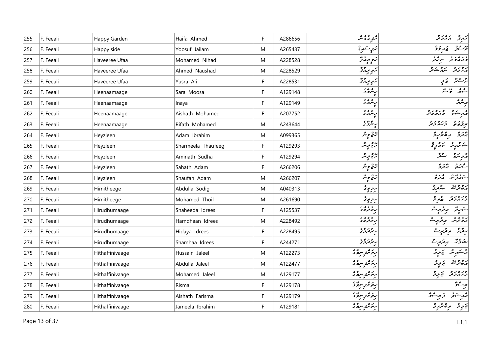| 255 | F. Feeali | Happy Garden    | Haifa Ahmed        | F  | A286656 | ئۇچ ئەمىر                        | رَمْزِقْ مَدْحَقْر                                    |
|-----|-----------|-----------------|--------------------|----|---------|----------------------------------|-------------------------------------------------------|
| 256 | F. Feeali | Happy side      | Yoosuf Jailam      | M  | A265437 | ترويسكور ؟                       | أور وه د بر بره                                       |
| 257 | F. Feeali | Haveeree Ufaa   | Mohamed Nihad      | M  | A228528 | ر <sub>ە بىرە</sub> بىر          | وره دو سرگانه                                         |
| 258 | F. Feeali | Haveeree Ufaa   | Ahmed Naushad      | M  | A228529 | ر <sub>ە بىرە</sub> ۋ            | رەرو سەرىدۇ                                           |
| 259 | F. Feeali | Haveeree Ufaa   | Yusra Ali          | F  | A228531 | ا ئەھ بىرە ق                     | ترصمتر الأمير                                         |
| 260 | F. Feeali | Heenaamaage     | Sara Moosa         | F  | A129148 | رېږي                             | رميمة المحراث                                         |
| 261 | F. Feeali | Heenaamaage     | Inaya              | F  | A129149 | ر پژو <sup>ي</sup>               | وبترشر                                                |
| 262 | F. Feeali | Heenaamaage     | Aishath Mohamed    | F  | A207752 | ر پژو <sup>ي</sup>               | و ره ر و<br><i>د ب</i> رگرفر<br>پ <sup>و</sup> مرشوحو |
| 263 | F. Feeali | Heenaamaage     | Rifath Mohamed     | M  | A243644 | ر پژو <sup>ي</sup>               | و ره ر د<br>تر پر ژنر<br>بروګړ د<br>تر فرمړ           |
| 264 | F. Feeali | Heyzleen        | Adam Ibrahim       | M  | A099365 | رچم په پر                        | پر رہ<br>دگرو<br>برە ئۆرۈ                             |
| 265 | F. Feeali | Heyzleen        | Sharmeela Thaufeeg | F  | A129293 | ر، ج موسر<br>رسم موسر            | شكرو كالمركزة                                         |
| 266 | F. Feeali | Heyzleen        | Aminath Sudha      | F  | A129294 | ئەج مەيىر<br>                    | ړ څخه شو د کشتگر                                      |
| 267 | F. Feeali | Heyzleen        | Sahath Adam        | F  | A266206 | يەھ بېرىگە                       | شرره به دره                                           |
| 268 | F. Feeali | Heyzleen        | Shaufan Adam       | M  | A266207 | رجم پویٹر                        | شەدە بەرە                                             |
| 269 | F. Feeali | Himitheege      | Abdulla Sodig      | M  | A040313 | ر و هو د<br>بر د بو              | أرة قرالله كمعتبر                                     |
| 270 | F. Feeali | Himitheege      | Mohamed Thoil      | M  | A261690 | ر و هو د<br>ر ر                  | وره د و و                                             |
| 271 | F. Feeali | Hirudhumaage    | Shaheeda Idrees    | F. | A125537 | <br>  په پورو د                  | شوریڈ پریڈیریٹ                                        |
| 272 | F. Feeali | Hirudhumaage    | Hamdhaan Idrees    | M  | A228492 | رووړي                            | رەپرە مەرىپە<br>مەدىرىر مەرىپ                         |
| 273 | F. Feeali | Hirudhumaage    | Hidaya Idrees      | F. | A228495 | <br>  په ټرترنۍ <sub>ک</sub>     | ریژه مقبرے                                            |
| 274 | F. Feeali | Hirudhumaage    | Shamhaa Idrees     | F  | A244271 | ریزودی                           | شوورم پر ویرید م                                      |
| 275 | F. Feeali | Hithaffinivaage | Hussain Jaleel     | M  | A122273 | رە ئىروپىرى<br>م                 | يزحكم وأناسي والمحارثي                                |
| 276 | F. Feeali | Hithaffinivaage | Abdulla Jaleel     | M  | A122477 | رىم ترو بىرىمى<br>رىم ترو بىرىمى | برە دالله ق دٍ دِ                                     |
| 277 | F. Feeali | Hithaffinivaage | Mohamed Jaleel     | M  | A129177 | رۇشرو سرچ ئى                     | ورەر ئەرگ                                             |
| 278 | F. Feeali | Hithaffinivaage | Risma              | F  | A129178 | رۇشۇر بىرۇ ئى                    | ابريدة                                                |
| 279 | F. Feeali | Hithaffinivaage | Aishath Farisma    | F  | A129179 | پەنزىر سرچە ئە                   | و<br>وگرېشو زېر دي.                                   |
| 280 | F. Feeali | Hithaffinivaage | Jameela Ibrahim    | F. | A129181 | رۇشۇر بىرقە ئە                   |                                                       |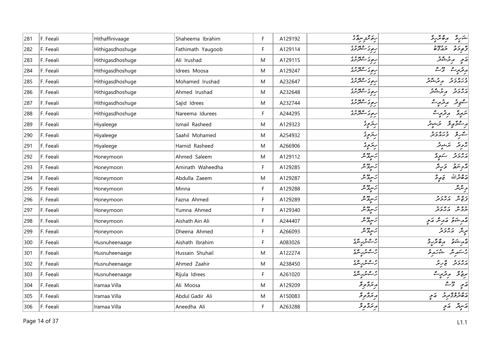| 281 | F. Feeali | Hithaffinivaage  | Shaheema Ibrahim  | F           | A129192 | <br>  پەنزىر مېرىقى ئ                                                                                          | ە ھەترىرى<br>برھەترىرى<br> شەرىخە                                                                                                                                                                                                |
|-----|-----------|------------------|-------------------|-------------|---------|----------------------------------------------------------------------------------------------------------------|----------------------------------------------------------------------------------------------------------------------------------------------------------------------------------------------------------------------------------|
| 282 | F. Feeali | Hithigasdhoshuge | Fathimath Yaugoob | F           | A129114 | رەپر رەپودى                                                                                                    | ן כדב ב<br>חקה בים<br>و محمد حرم<br>اقرا <i>م</i> ج                                                                                                                                                                              |
| 283 | F. Feeali | Hithigasdhoshuge | Ali Irushad       | M           | A129115 | ر پر ۲۵ و د د<br>برجو د سوتورو ک                                                                               | ەي رىرىشىر                                                                                                                                                                                                                       |
| 284 | F. Feeali | Hithigasdhoshuge | Idrees Moosa      | M           | A129247 | <br> رەپرى سەندىرى                                                                                             | ىر قرىر مەن تەرىپ<br>م                                                                                                                                                                                                           |
| 285 | F. Feeali | Hithigasdhoshuge | Mohamed Irushad   | M           | A232647 | <br> رەئى سىقرىرى<br> -                                                                                        | وره رو د و و و<br>وبرووتر بربرشوتر                                                                                                                                                                                               |
| 286 | F. Feeali | Hithigasdhoshuge | Ahmed Irushad     | M           | A232648 | <br>  ره د ک معرومی<br>  رنز                                                                                   | رەرو مەشقى                                                                                                                                                                                                                       |
| 287 | F. Feeali | Hithigasdhoshuge | Sajid Idrees      | M           | A232744 | اره د معدود<br>اره د مسور                                                                                      | ستموقر الرقرموسة                                                                                                                                                                                                                 |
| 288 | F. Feeali | Hithigasdhoshuge | Nareema Idurees   | F           | A244295 | اره د معدد و د<br>اره د سوفرمرد                                                                                | س <i>رېږ د و</i> ترېږے<br>مسیح                                                                                                                                                                                                   |
| 289 | F. Feeali | Hiyaleege        | Ismail Rasheed    | M           | A129323 | رېز پوت <sup>ې</sup>                                                                                           | أراع وحمي أتراسي وتراجع                                                                                                                                                                                                          |
| 290 | F. Feeali | Hiyaleege        | Saahil Mohamed    | M           | A254932 | رېز پوت <sup>ې</sup>                                                                                           | و ره ر و<br><i>د ب</i> رگرفر<br> ستمرعه                                                                                                                                                                                          |
| 291 | F. Feeali | Hiyaleege        | Hamid Rasheed     | M           | A266906 | رېزېږ <sup>ي</sup>                                                                                             | گەر ئەسىم                                                                                                                                                                                                                        |
| 292 | F. Feeali | Honeymoon        | Ahmed Saleem      | M           | A129112 | ئە پەردى <sub>ش</sub>                                                                                          | رەر ئىرو                                                                                                                                                                                                                         |
| 293 | F. Feeali | Honeymoon        | Aminath Waheedha  | F           | A129285 | ر سرد مر<br>په سر                                                                                              | أأدجني وكباقر                                                                                                                                                                                                                    |
| 294 | F. Feeali | Honeymoon        | Abdulla Zaeem     | M           | A129287 | ر سرچ<br>په پېړۍ منگ                                                                                           | ەھىراللە<br>ىئەرى                                                                                                                                                                                                                |
| 295 | F. Feeali | Honeymoon        | Minna             | F           | A129288 | ر سردو<br>ئەسرچە بىر                                                                                           | لحر مثر مثر                                                                                                                                                                                                                      |
| 296 | F. Feeali | Honeymoon        | Fazna Ahmed       | F           | A129289 | ئە بىردىم<br>ئەسرچە بىر                                                                                        | ۇ ئەشر<br>ەرەر                                                                                                                                                                                                                   |
| 297 | F. Feeali | Honeymoon        | Yumna Ahmed       | $\mathsf F$ | A129340 | ئە بىر 3 مىر<br>ئە                                                                                             | وه مه ره رو<br>مرو شهر مهر در                                                                                                                                                                                                    |
| 298 | F. Feeali | Honeymoon        | Aishath Ain Ali   | $\mathsf F$ | A244407 | ائەيدە<br>=                                                                                                    | أقهر خنعتي الكهر مثر الكامج                                                                                                                                                                                                      |
| 299 | F. Feeali | Honeymoon        | Dheena Ahmed      | F           | A266093 | ئە بىردىشە<br>ئ                                                                                                | امرینگ ا <i>ز ۱۹۷۶</i>                                                                                                                                                                                                           |
| 300 | F. Feeali | Husnuheenaage    | Aishath Ibrahim   | F           | A083026 | <i>ج مەمۇر پىرى</i><br>مەسىر بىرىدىكى                                                                          | و المستوفر و معرض                                                                                                                                                                                                                |
| 301 | F. Feeali | Husnuheenaage    | Hussain Shuhail   | M           | A122274 | 2 مىشرىرىدى <del>كى</del>                                                                                      | يزىسىرىتر مەزىرى                                                                                                                                                                                                                 |
| 302 | F. Feeali | Husnuheenaage    | Ahmed Zaahir      | M           | A238450 | ر مشتر پر سر<br>مسلم                                                                                           | رەرو ئەرىر                                                                                                                                                                                                                       |
| 303 | F. Feeali | Husnuheenaage    | Rijula Idrees     | F           | A261020 | ر مشتر شرید می بران به تعداد به تعداد به تعداد به این به تعداد به تعداد به تعداد به تعداد به تعداد ب<br>مسائله |                                                                                                                                                                                                                                  |
| 304 | F. Feeali | Iramaa Villa     | Ali Moosa         | M           | A129209 | بر برگر مرگر                                                                                                   |                                                                                                                                                                                                                                  |
| 305 | F. Feeali | Iramaa Villa     | Abdul Gadir Ali   | M           | A150083 | بر ئز تحر قر                                                                                                   | ן פריפול בנולד היק ביו היק ביו היק ביו היק ביו היק ביו היק ביו היק ביו היק ביו היק ביו היק ביו היק ביו היק ביו<br>היק ביו היק ביו היק ביו היק ביו היק ביו היק ביו היק ביו היק ביו היק ביו היק ביו היק ביו היק ביו ביו היק ביו בי |
| 306 | F. Feeali | Iramaa Villa     | Aneedha Ali       | F.          | A263288 | لرىزۇرۇ                                                                                                        | ە ئىرىگرى ئەر                                                                                                                                                                                                                    |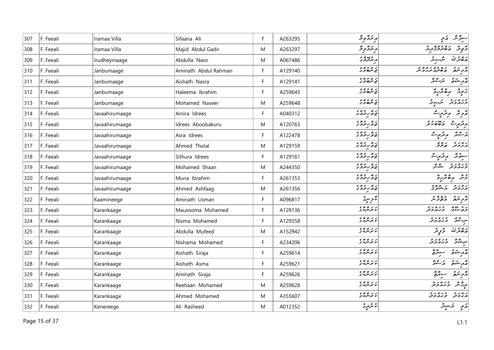| 307 | F. Feeali | Iramaa Villa   | Sifaana Ali          | F  | A263295 | وبزة وقر                                                 | سوقتك المتعج                                                                    |
|-----|-----------|----------------|----------------------|----|---------|----------------------------------------------------------|---------------------------------------------------------------------------------|
| 308 | F. Feeali | Iramaa Villa   | Majid Abdul Gadir    | M  | A263297 | وبمرڈ و ڈ                                                | د د ده ده ده در د<br>د د سه مورد د بر                                           |
| 309 | F. Feeali | Irudheymaage   | Abdulla Nasir        | M  | A067486 | و پره و بر<br>در موفورس                                  | رەقمەللە مىگە يى                                                                |
| 310 | F. Feeali | Janbumaage     | Aminath Abdul Rahman | F  | A129140 | ر ه د و و ،<br>تع سرچ تر ی                               | ر ٥ ۶ ٥ ٥ ٥ ٥ ٩<br>پرې تر پر بر تر س<br>پر بر د<br>مرد سره                      |
| 311 | F. Feeali | Janbumaage     | Aishath Nasra        | F  | A129141 | ر ه د و و ،<br>تع سرچ تر ی                               | ىئەرمەتتر<br>پە<br>مەم شىمى                                                     |
| 312 | F. Feeali | Janbumaage     | Haleema Ibrahim      | F. | A259645 | ر ه د د »<br>د سره تر د                                  | پرٔ<br>دیگر<br>وە ئەربى                                                         |
| 313 | F. Feeali | Janbumaage     | Mohamed Naseer       | M  | A259648 | ر ه د و و ،<br>تع سرچ تر ی                               | ورەرو شبەر                                                                      |
| 314 | F. Feeali | Javaahirumaage | Amira Idrees         | F  | A040312 | پر څر پر چر <sub>پر</sub><br>  پر څر پر چر <sub>پر</sub> | ړ د پر پر پر په د                                                               |
| 315 | F. Feeali | Javaahirumaage | Idrees Aboobakuru    | M  | A120763 | ئەڭرىر ئەدى                                              | 77/77/<br>ەر قرىبر م                                                            |
| 316 | F. Feeali | Javaahirumaage | Asra Idrees          | F. | A122478 | ر پر پر پر پر<br>مح کا کر مرکز <sub>ک</sub>              | ر ویژ<br>د سویژ مرمزمی <sup>ت</sup>                                             |
| 317 | F. Feeali | Javaahirumaage | Ahmed Tholal         | M  | A129159 | پر څر پر چر پر                                           | بر ٥ پر و<br>مربر <del>و</del> تر<br>ىر بە ە<br>ج <sub>ە</sub> <del>م</del> ۇ م |
| 318 | F. Feeali | Javaahirumaage | Sithura Idrees       | F  | A129161 | ر پر پر پر پر<br>مح کو مرکز <sub>گر</sub>                | سوەتھ برىزىرگ                                                                   |
| 319 | F. Feeali | Javaahirumaage | Mohamed Shaan        | M  | A244350 | ریم رچ دی<br>  بی قر برقری                               | و ر ه ر د<br>و پر پر تر تر<br>ىشەھر                                             |
| 320 | F. Feeali | Javaahirumaage | Muna Ibrahim         | F  | A261353 | ر و بر و و ،<br>نح قر برتر د                             | ديمه مەھمىرد                                                                    |
| 321 | F. Feeali | Javaahirumaage | Ahmed Ashfaag        | M  | A261356 | ر و بر و و ء<br>نح قر بردگ                               | ر ه ر د<br>م.رو تر<br>ىر شەرىخ                                                  |
| 322 | F. Feeali | Kaamineege     | Aminath Usman        | F  | A096817 | مۇجەسىدى<br>س                                            | ړ ژ سره<br>و ه و بر<br>مرخوخ سر                                                 |
| 323 | F. Feeali | Karankaage     | Mausooma Mohamed     | F. | A129136 | ر ر ه و ،<br>ما <del>ب</del> رمبر <i>ما</i> ی            | ر و دوءِ<br>وەسىر<br>و ر ه ر د<br><i>و بر ۸</i> ر تر                            |
| 324 | F. Feeali | Karankaage     | Nisma Mohamed        | F. | A129358 | ر ر ه و د ،<br>ما بر سرد د                               | و ره ر و<br><i>و پر د</i> تر<br>اسرىشۇ<br>بە                                    |
| 325 | F. Feeali | Karankaage     | Abdulla Mufeed       | M  | A152942 | ر رەپەر<br>مايىرسر <i>ى</i> رى                           | ەھىراللە<br>تر و پر                                                             |
| 326 | F. Feeali | Karankaage     | Nishama Mohamed      | F  | A234206 | ر ر ه و د ،<br>با بر بررا د                              | سريشرگر<br>و رە ر د<br>تر <i>پە</i> ر تەر                                       |
| 327 | F. Feeali | Karankaage     | Aishath Siraja       | F  | A259614 | ر رەپەر<br>مايىرسر <i>ى</i> رى                           | دگر شده و سویز شده                                                              |
| 328 | F. Feeali | Karankaage     | Aishath Asma         | F. | A259621 | ر رەپەر<br>مايىرسر <i>ى</i> رى                           | ړُ د شوه کړ شوی                                                                 |
| 329 | F. Feeali | Karankaage     | Aminath Siraja       | F. | A259626 | ر رەپە ي<br>ئابىر بىرىزى                                 | ومحرسكم المستقيقة                                                               |
| 330 | F. Feeali | Karankaage     | Reehaan Mohamed      | M  | A259628 | ر ر ه و د ،<br>ما <del>ب</del> رس د د                    | بربر تیگر<br>و ره ر و<br><i>و پر</i> و تر                                       |
| 331 | F. Feeali | Karankaage     | Ahmed Mohamed        | M  | A355607 | ر ره ۶۵<br>با بر مربو <sub>ک</sub>                       | پروژو<br>و بره بر و<br>تر پر ټر                                                 |
| 332 | F. Feeali | Kenereege      | Ali Rasheed          | M  | A012352 | ع متر پرې<br>                                            | كالمح المخرجون                                                                  |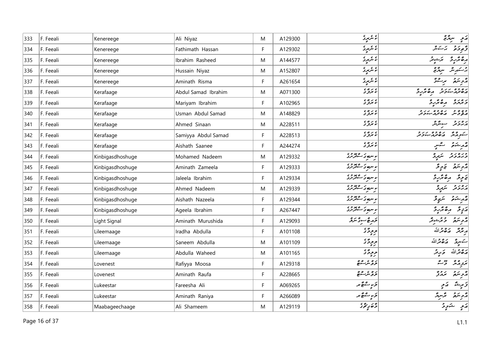| 333 | F. Feeali | Kenereege        | Ali Niyaz           | M         | A129300 | ئەنئەپرى<br>                                               |                                                   |
|-----|-----------|------------------|---------------------|-----------|---------|------------------------------------------------------------|---------------------------------------------------|
| 334 | F. Feeali | Kenereege        | Fathimath Hassan    | F.        | A129302 | ء ي <sub>مبر</sub> ءِ                                      | ۇ بۇ ئەر ئەسكەنلەر                                |
| 335 | F. Feeali | Kenereege        | Ibrahim Rasheed     | M         | A144577 | ع مثر پر <sup>ج</sup>                                      | ە ھەترىر <i>ە</i><br>برھەترىرە<br>بمرشوقر         |
| 336 | F. Feeali | Kenereege        | Hussain Niyaz       | M         | A152807 | ى<br>ئەمىرىيەتچ                                            | جەسە<br>مەسىر بىر<br>سرگرمج                       |
| 337 | F. Feeali | Kenereege        | Aminath Risma       | F         | A261654 | ع مثر پر <sup>ج</sup>                                      | ومحر يتمونه والمسترد                              |
| 338 | F. Feeali | Kerafaage        | Abdul Samad Ibrahim | M         | A071300 | ړ ر د د<br>ما بوتۍ ي                                       | ە ھەتترىرى<br>ر ٥ ۶ و ٥ ر ر و<br>پرڪ توپر سندو تو |
| 339 | F. Feeali | Kerafaage        | Mariyam Ibrahim     | F         | A102965 | ې پر پر پر<br>ما تنزلو ت                                   | במתכ תפתיק                                        |
| 340 | F. Feeali | Kerafaage        | Usman Abdul Samad   | ${\sf M}$ | A148829 | ړ ر د د<br>ما بوتۍ ي                                       | כם מיכן מסיפם ממיכ<br>המליכית הסינגלי             |
| 341 | F. Feeali | Kerafaage        | Ahmed Sinaan        | M         | A228511 | ې پر پر پر<br>ما تنزلو ت                                   | رەرد سەشر                                         |
| 342 | F. Feeali | Kerafaage        | Samiyya Abdul Samad | F         | A228513 | ء پر پو ۽<br> ما موٽو پ                                    | سکورمر ده ده درد و                                |
| 343 | F. Feeali | Kerafaage        | Aishath Saanee      | F         | A244274 | ې پر پر پر<br>ما موتو ی                                    | ۇرمىئو سەس                                        |
| 344 | F. Feeali | Kinbigasdhoshuge | Mohamed Nadeem      | M         | A129332 | <br>  پاسپهای سوفرس                                        | و ر ه ر د<br>تر پر تر تر<br>سربرو                 |
| 345 | F. Feeali | Kinbigasdhoshuge | Aminath Zameela     | F         | A129333 | ر سرچ <sub>ک</sub> ے تعریف کا<br>مرسم پر مستقر <i>س</i> ری | أأدجن أتجاري                                      |
| 346 | F. Feeali | Kinbigasdhoshuge | Jaleela Ibrahim     | F         | A129334 | ر<br>موسوحه که دورسوی<br>م                                 | ق پر قر مرہ تربر 3                                |
| 347 | F. Feeali | Kinbigasdhoshuge | Ahmed Nadeem        | M         | A129339 | )<br>  پر سرچوکر سوتر سری                                  | د ۱۵ د حس مربور ۱                                 |
| 348 | F. Feeali | Kinbigasdhoshuge | Aishath Nazeela     | F         | A129344 | <br>  پاسپهای سودرسری<br> -                                | ۇرىشقى سەپچ                                       |
| 349 | F. Feeali | Kinbigasdhoshuge | Ageela Ibrahim      | F         | A267447 | / په سوه د د د د د د د پا<br>  په سرچين ک                  | أرجيع مقتربة                                      |
| 350 | F. Feeali | Light Signal     | Aminath Murushida   | F         | A129093 | خەرقچ سوچ ئىرقمە                                           | أأدوسكم والمحموشوقا                               |
| 351 | F. Feeali | Lileemaage       | Iradha Abdulla      | F         | A101108 | ووڈ ء<br>ر                                                 | مكُمَّتْر مُكْ مَثَّلَلَّهُ                       |
| 352 | F. Feeali | Lileemaage       | Saneem Abdulla      | M         | A101109 | ووڈء                                                       | ەھىراللە<br>سەبىرچە                               |
| 353 | F. Feeali | Lileemaage       | Abdulla Waheed      | M         | A101165 | ووژء                                                       | يرە دالله كربر د                                  |
| 354 | F. Feeali | Lovenest         | Rafiyya Moosa       | F         | A129318 | ىر <i>ە</i> بۇرمۇھ                                         | برودش وحث                                         |
| 355 | F. Feeali | Lovenest         | Aminath Raufa       | F         | A228665 | ىرە ، مەھ                                                  | أأدمره بروو                                       |
| 356 | F. Feeali | Lukeestar        | Fareesha Ali        | F         | A069265 | ئەربە ھەتىمە                                               | ا تو موسته<br><u>ا</u><br>ەتە                     |
| 357 | F. Feeali | Lukeestar        | Aminath Raniya      | F.        | A266089 | ئۈرىشقىم                                                   | بۇسرىر<br>أروشي                                   |
| 358 | F. Feeali | Maabageechaage   | Ali Shameem         | ${\sf M}$ | A129119 | د ځه کوي کلي<br>  د ځه کلي کلي                             | ړَ په شو د د                                      |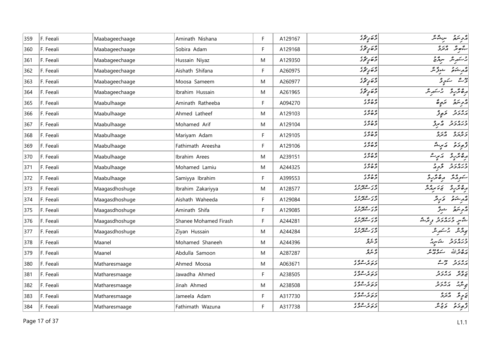| 359 | F. Feeali | Maabageechaage | Aminath Nishana       | $\mathsf F$ | A129167 | و ريد دي.<br>حوي گور                       | سرىشەشر<br>ومحر سرد                                    |
|-----|-----------|----------------|-----------------------|-------------|---------|--------------------------------------------|--------------------------------------------------------|
| 360 | F. Feeali | Maabageechaage | Sobira Adam           | F           | A129168 | دڅه نومونه                                 | بثوءثر<br>پور ہ<br>مرکزو                               |
| 361 | F. Feeali | Maabageechaage | Hussain Niyaz         | M           | A129350 | دڅه نومونه                                 | جەسەمبەشر<br>س<br>سرگرم                                |
| 362 | F. Feeali | Maabageechaage | Aishath Shifana       | F           | A260975 | ە ئەرەپى<br>مەسىمى                         | شەۋڭە ئىگر<br>وگەرىشكە تە<br>مەسىسىسى                  |
| 363 | F. Feeali | Maabageechaage | Moosa Sameem          | M           | A260977 | د ده د ده د<br>د ه د د                     | $\boxed{2,2}$<br>ستهور                                 |
| 364 | F. Feeali | Maabageechaage | Ibrahim Hussain       | M           | A261965 | دڅه نومونه                                 | برسەمەرىش<br>ە ھەترىر <sup>ە</sup>                     |
| 365 | F. Feeali | Maabulhaage    | Aminath Ratheeba      | $\mathsf F$ | A094270 | ۶ و ۶ و<br>تر ت <i>نه ت</i> ر <sub>ک</sub> | أثر حريحهم<br>بَرْءٍ ثُمَّ                             |
| 366 | F. Feeali | Maabulhaage    | Ahmed Latheef         | M           | A129103 | ۶ و ۶ و<br>تر ت <i>نه ت</i> ر <sub>ک</sub> | برور و<br>ځږوگ                                         |
| 367 | F. Feeali | Maabulhaage    | Mohamed Arif          | M           | A129104 | ۶ و ۶ و<br>تر ت <i>نه ت</i> ر <sub>ک</sub> | و ره ر د<br><i>و پر</i> پر تر<br>ەر بور                |
| 368 | F. Feeali | Maabulhaage    | Mariyam Adam          | F           | A129105 | ۶ و ۶ و.<br>تر ت <i>ن</i> تر <sub>ک</sub>  | ر ه ر ه<br>د بربر د<br>پەر ە<br>مەنزۈ                  |
| 369 | F. Feeali | Maabulhaage    | Fathimath Areesha     | F           | A129106 | ۶ و ۶ و<br>تر ت تر <sub>ک</sub>            | ۇ بوزۇ<br>ەكە بىرىشە                                   |
| 370 | F. Feeali | Maabulhaage    | Ibrahim Arees         | M           | A239151 | پر ویږ ،<br>  رقم ځونو                     | ەرھەترىر <sup>ى</sup><br>ە ئىمەر ھ                     |
| 371 | F. Feeali | Maabulhaage    | Mohamed Lamiu         | M           | A244325 | ۶ و ۶ و<br>تر ت <i>ن ت</i> ر <sub>ک</sub>  | و ر ه ر و<br><i>و ټ</i> رو تر<br>مۇر 2                 |
| 372 | F. Feeali | Maabulhaage    | Samiyya Ibrahim       | F           | A399553 | ۶ و ۶ و<br>تر ت <i>نه ت</i> ر <sub>ک</sub> | ەھ ترىرى<br>سأدٍ ورمز                                  |
| 373 | F. Feeali | Maagasdhoshuge | Ibrahim Zakariyya     | M           | A128577 | بر رحس و د د<br>فرک سنگرمزی                | ى ئەسىرە بىر<br>ەر ھەتمەر 2<br>ر                       |
| 374 | F. Feeali | Maagasdhoshuge | Aishath Waheeda       | F           | A129084 | به رحمه و د و<br>ترک سنگرمزی               | ۇ مەشقۇ<br>ءَ ٻريٽر                                    |
| 375 | F. Feeali | Maagasdhoshuge | Aminath Shifa         | F           | A129085 | بر رحس و د د<br>تر که مسلومور              | أرمز تر<br>شەۋ                                         |
| 376 | F. Feeali | Maagasdhoshuge | Shanee Mohamed Firash | F           | A244281 | بر رحس و د د<br>ترک سنگرمری                | ڪس ويرمادو ريگڪ                                        |
| 377 | F. Feeali | Maagasdhoshuge | Ziyan Hussain         | M           | A244284 | بر رحس و د د<br>تر که مستولوک              | ىم ئۇنىڭ برگىتىم بىر                                   |
| 378 | F. Feeali | Maanel         | Mohamed Shaneeh       | M           | A244396 | پر ہ<br>تر سربڑ                            | ورەرو شەرر                                             |
| 379 | F. Feeali | Maanel         | Abdulla Samoon        | M           | A287287 | ۇبىرو                                      | سە ە دو ھ<br>ەھىراللە                                  |
| 380 | F. Feeali | Matharesmaage  | Ahmed Moosa           | M           | A063671 | ر ر ر ه و د ،<br>د ه مر سود د              | دين مشر<br>بر ه بر د<br>م <i>. ب</i> ر <del>د</del> تر |
| 381 | F. Feeali | Matharesmaage  | Jawadha Ahmed         | F           | A238505 | ر ر ، ر ه » ،<br><del>و ه</del> بر شو د    | ر ۶ بر<br>قع تر<br>پروژو                               |
| 382 | F. Feeali | Matharesmaage  | Jinah Ahmed           | M           | A238508 | ر ر ر ه و و ر<br><del>و ه</del> بر سور     | محر مثر تر<br>پرور و                                   |
| 383 | F. Feeali | Matharesmaage  | Jameela Adam          | F           | A317730 | ر ر ر ه و و ر<br><del>و ه</del> بر سور     | تح حٍ تَحْر<br>پور ہ<br>مرکزو                          |
| 384 | F. Feeali | Matharesmaage  | Fathimath Wazuna      | F           | A317738 | ر ر ، م ه » ،<br>وه پر سوو د               | ژُبودَ و در ژ                                          |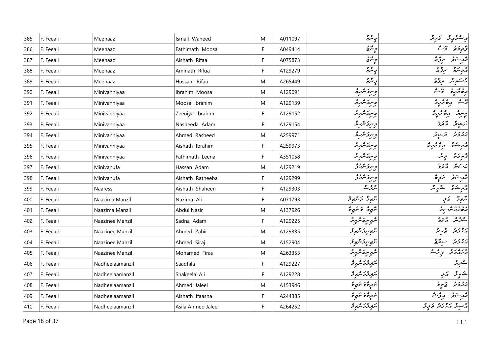| 385 | F. Feeali | Meenaaz         | Ismail Waheed      | M           | A011097 | جريثر                                                                                                                                                                                                                                                 | رەشىھ ھەيىد                                                                                                                                                                                                                     |
|-----|-----------|-----------------|--------------------|-------------|---------|-------------------------------------------------------------------------------------------------------------------------------------------------------------------------------------------------------------------------------------------------------|---------------------------------------------------------------------------------------------------------------------------------------------------------------------------------------------------------------------------------|
| 386 | F. Feeali | Meenaaz         | Fathimath Moosa    | F           | A049414 | جريثر                                                                                                                                                                                                                                                 | و مرد<br>توجو حر                                                                                                                                                                                                                |
| 387 | F. Feeali | Meenaaz         | Aishath Rifaa      | F           | A075873 | جريثر                                                                                                                                                                                                                                                 | بروژ<br>پ <sup>و</sup> مرشومی<br>مرم                                                                                                                                                                                            |
| 388 | F. Feeali | Meenaaz         | Aminath Rifua      | F           | A129279 | حرٍ مُرَّج                                                                                                                                                                                                                                            | أروسكو<br>بروژ                                                                                                                                                                                                                  |
| 389 | F. Feeali | Meenaaz         | Hussain Rifau      | M           | A265449 | حريثرج                                                                                                                                                                                                                                                | برود<br>جر س <sub>ک</sub> ر میں<br>م                                                                                                                                                                                            |
| 390 | F. Feeali | Minivanhiyaa    | Ibrahim Moosa      | M           | A129091 | ە سەھ شرىر<br>سىرىمىسىر                                                                                                                                                                                                                               | ە ھەترىرى<br>برھەترىرى<br>دومثر                                                                                                                                                                                                 |
| 391 | F. Feeali | Minivanhiyaa    | Moosa Ibrahim      | M           | A129139 | ا د سره شریر<br><u>مسر</u> شریر مر                                                                                                                                                                                                                    | $5\sqrt{6}$<br>$7\sqrt{6}$                                                                                                                                                                                                      |
| 392 | F. Feeali | Minivanhiyaa    | Zeeniya Ibrahim    | F           | A129152 | لى سرە ئىرىدىگە<br>مەم                                                                                                                                                                                                                                | ە ھەمرىرى<br>مەھەمرىرى<br>اسم میں<br>تعلیم                                                                                                                                                                                      |
| 393 | F. Feeali | Minivanhiyaa    | Nasheeda Adam      | F           | A129154 | ى <sub>ر س</sub> وڭ شرىرىدىگە<br>مەم                                                                                                                                                                                                                  | ىكرىشونگر<br>ئى<br>پھر ہ<br>مرکز                                                                                                                                                                                                |
| 394 | F. Feeali | Minivanhiyaa    | Ahmed Rasheed      | M           | A259971 | <br>  دېروگېږېد                                                                                                                                                                                                                                       | رەر ئەت ئەھمىدىگر<br>مەركى ئەسىر                                                                                                                                                                                                |
| 395 | F. Feeali | Minivanhiyaa    | Aishath Ibrahim    | F           | A259973 | احە سەھ شرىرىدىگر<br>كەنبە                                                                                                                                                                                                                            | ورشنق رەمۇر                                                                                                                                                                                                                     |
| 396 | F. Feeali | Minivanhiyaa    | Fathimath Leena    | F           | A351058 | ار سەنگەرىدىگە<br>سىزىيەتلىر                                                                                                                                                                                                                          | دًّءٍ حَرَمَ مِيسَر                                                                                                                                                                                                             |
| 397 | F. Feeali | Minivanufa      | Hassan Adam        | M           | A129219 | د سره شمر <sup>و</sup> ژ                                                                                                                                                                                                                              | بزيەشر<br>پە رە<br>مەنىرى                                                                                                                                                                                                       |
| 398 | F. Feeali | Minivanufa      | Aishath Ratheeba   | F           | A129299 | ح <sub>ە مىر</sub> مۇ ئىزىدۇ                                                                                                                                                                                                                          | و د شوځ مر <sub>و</sub> ځ<br>مر                                                                                                                                                                                                 |
| 399 | F. Feeali | Naaress         | Aishath Shaheen    | $\mathsf F$ | A129303 | متزبر ہے                                                                                                                                                                                                                                              | و مشرح شريعه<br>م                                                                                                                                                                                                               |
| 400 | F. Feeali | Naazima Manzil  | Nazima Ali         | F           | A071793 | شرە ئەسرى                                                                                                                                                                                                                                             | شموڅ ځې                                                                                                                                                                                                                         |
| 401 | F. Feeali | Naazima Manzil  | <b>Abdul Nasir</b> | M           | A137926 | شرق كالمربوقر                                                                                                                                                                                                                                         | ره وه شرید د<br>اړه ترو سرب                                                                                                                                                                                                     |
| 402 | F. Feeali | Naazinee Manzil | Sadna Adam         | F           | A129225 | م <i>ىَّتى بېرى</i> خشى بى                                                                                                                                                                                                                            | ے وی مصر ہ<br>سنورس کرترو                                                                                                                                                                                                       |
| 403 | F. Feeali | Naazinee Manzil | Ahmed Zahir        | M           | A129335 | اش <sub>كىم</sub> س <sub>ې</sub> رىگىنىمى قىلىپ قىلىپ ئىشلارنىڭ بول كىلىپ كىلىپ كىلىپ كىلىپ كىلىپ كىلىپ كىلىپ كىلىپ كىلىپ كىلىپ كىلىپ<br>مەنبەلەت كىلىپ كىلىپ كىلىپ كىلىپ كىلىپ كىلىپ كىلىپ كىلىپ كىلىپ كىلىپ كىلىپ كىلىپ كىلىپ كىلىپ كىلىپ كىلىپ كىل | أرورو مجرير                                                                                                                                                                                                                     |
| 404 | F. Feeali | Naazinee Manzil | Ahmed Siraj        | M           | A152904 | م <i>ى</i> تى بېرىخ مىڭ بىر قى                                                                                                                                                                                                                        | ړه رو سوري                                                                                                                                                                                                                      |
| 405 | F. Feeali | Naazinee Manzil | Mohamed Firas      | M           | A263353 | م <i>ىنى بېرىخ</i> ئىرى <i>پى</i>                                                                                                                                                                                                                     | ورەرو پەر                                                                                                                                                                                                                       |
| 406 | F. Feeali | Nadheelaamanzil | Saadhila           | $\mathsf F$ | A129227 | ىئېرىۋۇشى ۋ                                                                                                                                                                                                                                           | سەمەرتى<br>م                                                                                                                                                                                                                    |
| 407 | F. Feeali | Nadheelaamanzil | Shakeela Ali       | F           | A129228 | ﯩ <i>ﺰﯨﭙﺮ ﺋﯘﺭ</i> ﻣﯩﺮ ﯞ                                                                                                                                                                                                                               | ىشكىدۇ.<br>مەس<br>ەتىر                                                                                                                                                                                                          |
| 408 | F. Feeali | Nadheelaamanzil | Ahmed Jaleel       | M           | A153946 | ﯩﺮﯨﺮ ﯘﺭ ﻣﯩﺮﯨ                                                                                                                                                                                                                                          | رەرو ئىچ                                                                                                                                                                                                                        |
| 409 | F. Feeali | Nadheelaamanzil | Aishath Ifaasha    | F           | A244385 | ﯩﺮﯨﺮ ﺋﯘﺭ ﻣﯩﺮﯨ                                                                                                                                                                                                                                         | و د د کار د مورد که در کار در کار در در در در در در کار در در کار در کار در دلکر در دلایل در دلایل در دلایل در<br>در کار دلایل در کار در کار کار در کار دلکر دلکر دلکر دلایل در دلایل دلایل دلایل دلایل دلایل دلایل دلایل دلایل |
| 410 | F. Feeali | Nadheelaamanzil | Asila Ahmed Jaleel | F           | A264252 | ﯩﺮﯨﺮ ﯘﺭ ﻣﯩﺮﯨ                                                                                                                                                                                                                                          | د سرگر درورو در د                                                                                                                                                                                                               |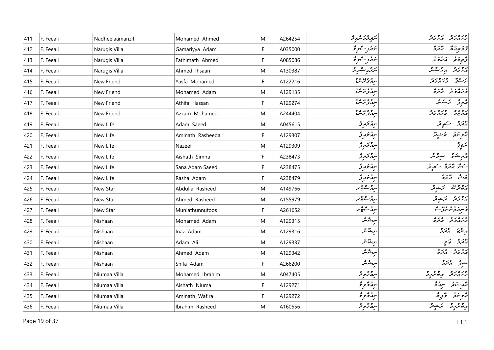| 411 | F. Feeali | Nadheelaamanzil | Mohamed Ahmed    | M  | A264254 | ﯩﺮﯨﺮ ﺋﯘﺭ ﺷﯧ                                     | כנסנכ נסנכ<br>כגמכת הגבת                      |
|-----|-----------|-----------------|------------------|----|---------|-------------------------------------------------|-----------------------------------------------|
| 412 | F. Feeali | Narugis Villa   | Gamariyya Adam   | F  | A035000 | ىئرىز <sub>ىر</sub> سى <sub>مو</sub> ىتى        | ر ئەسرە بۇ<br>ئ<br>پر ہ<br>پرترو              |
| 413 | F. Feeali | Narugis Villa   | Fathimath Ahmed  | F. | A085086 | ىئر <i>پرېمو سىمو</i> ئۇ                        | و ده ده دورو                                  |
| 414 | F. Feeali | Narugis Villa   | Ahmed Ihsaan     | M  | A130387 | ىئرى <sup>تى</sup> ر سىمو قە                    | رەرو مەشكىر                                   |
| 415 | F. Feeali | New Friend      | Yasfa Mohamed    | F. | A122216 | ا <sub>سدومه وه</sub>                           | بر قاد ورەرد                                  |
| 416 | F. Feeali | New Friend      | Mohamed Adam     | M  | A129135 | مرد و ده ه ه<br>مرد و برس                       | وره رو په ره<br><i>وبرم</i> ونر م <i>ې</i> رو |
| 417 | F. Feeali | New Friend      | Athifa Hassan    | F  | A129274 | ا <sub>س</sub> روی <sub>ن</sub> وه<br>سرونر سنه | ە ئۇق ئەسكىلە                                 |
| 418 | F. Feeali | New Friend      | Azzam Mohamed    | M  | A244404 | سرد ويرمره<br>سرو ترس                           | גם כם כגם גב<br>ההגב בגהבת                    |
| 419 | F. Feeali | New Life        | Adam Saeed       | M  | A045615 | ببرمز بخبر ومح                                  | أردره ستهيد                                   |
| 420 | F. Feeali | New Life        | Aminath Rasheeda | F. | A129307 | ببرو مخرو                                       | أثرمني<br>ىمەسىيەتىر                          |
| 421 | F. Feeali | New Life        | Nazeef           | M  | A129309 | ببرمز بخبر ومح                                  | سَعَدٍوٌ                                      |
| 422 | F. Feeali | New Life        | Aishath Simna    | F  | A238473 | سرمز مخرمر و                                    |                                               |
| 423 | F. Feeali | New Life        | Sana Adam Saeed  | F  | A238475 | ببرو مخبرو                                      | سە ئەرەب كەر                                  |
| 424 | F. Feeali | New Life        | Rasha Adam       | F  | A238479 | سرمز خرمر و                                     | برند می<br>برندگان ارتزا <i>ر</i> ه           |
| 425 | F. Feeali | New Star        | Abdulla Rasheed  | M  | A149766 | سرز شقح بر                                      | حرص قرالله تمرشونر                            |
| 426 | F. Feeali | New Star        | Ahmed Rasheed    | M  | A155979 | لسرز شقح بر                                     | ره ر <del>و</del> برشونر<br>درونر برشونر      |
| 427 | F. Feeali | New Star        | Muniathunnufoos  | F  | A261652 | سرز شقح بر                                      | 3 سر 7 مرکز میں میں میں<br>مرکز کو سر سر پر م |
| 428 | F. Feeali | Nishaan         | Mohamed Adam     | M  | A129315 | اسریشمیر<br>بر                                  | وره رو په ره<br><i>وبر</i> روز                |
| 429 | F. Feeali | Nishaan         | Inaz Adam        | M  | A129316 | سرىشەش                                          | أوستنج أوتره                                  |
| 430 | F. Feeali | Nishaan         | Adam Ali         | M  | A129337 | اسریئے<br>کے                                    | أزقرق أتأمج                                   |
| 431 | F. Feeali | Nishaan         | Ahmed Adam       | M  | A129342 | سرىشەشر                                         | ر ہ ر د درہ<br>גرونر گرمر                     |
| 432 | F. Feeali | Nishaan         | Shifa Adam       | F  | A266200 | اسبشده                                          | أخوتش أترفروا                                 |
| 433 | F. Feeali | Niumaa Villa    | Mohamed Ibrahim  | M  | A047405 | سرە ئۇ بۇ                                       | כמחכת תסתיב                                   |
| 434 | F. Feeali | Niumaa Villa    | Aishath Niuma    | F  | A129271 | سرە ئۇ ئەرگە<br>بەر                             |                                               |
| 435 | F. Feeali | Niumaa Villa    | Aminath Wafira   | F. | A129272 | ىرىد ئۇ بۇ                                      | أرمز بترة<br>ۇر ئە                            |
| 436 | F. Feeali | Niumaa Villa    | Ibrahim Rasheed  | M  | A160556 | ىرد ئۇ ئۇ                                       | ەھەردە كەشىھەر<br>مەھەردە كەشىھەر             |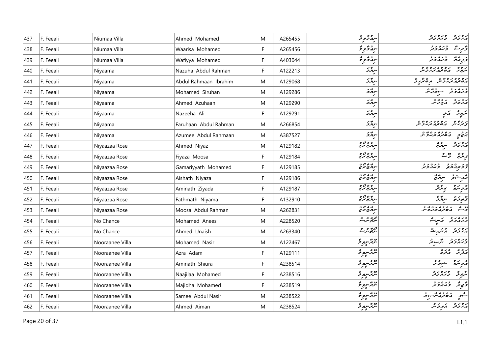| 437 | F. Feeali | Niumaa Villa    | Ahmed Mohamed         | M  | A265455 | البرو محروقر                        | و رە ر د<br>تر پروتر<br>بر 2 د تر<br>م <i>ر</i> بر <del>د</del> تر |
|-----|-----------|-----------------|-----------------------|----|---------|-------------------------------------|--------------------------------------------------------------------|
| 438 | F. Feeali | Niumaa Villa    | Waarisa Mohamed       | F  | A265456 | يبدة ثوقر                           | و ر ه ر و<br>تر پر تر تر<br>ۇ بىر شە                               |
| 439 | F. Feeali | Niumaa Villa    | Wafiyya Mohamed       | F. | A403044 | ىرر ئەگە ئە                         | و ره ر د<br><i>د ب</i> رگرفر<br>ءَ وِ مهڻه                         |
| 440 | F. Feeali | Niyaama         | Nazuha Abdul Rahman   | F. | A122213 | سردگر                               | ر ٥ ٥ ٥ ٥ ٥ ٥ ٠<br>پرې تر پر بر تر س<br>سرچ پژ                     |
| 441 | F. Feeali | Niyaama         | Abdul Rahmaan Ibrahim | Μ  | A129068 | سردر                                | ر ه و ه د ه د ه<br>پره تر بر بر تر س<br>ەھ ترىر 3                  |
| 442 | F. Feeali | Niyaama         | Mohamed Siruhan       | Μ  | A129286 | سرترتر                              | ورەرو سەر <i>و</i> ە<br><i>دىد</i> ەرەتر سە <i>برى</i> گىر         |
| 443 | F. Feeali | Niyaama         | Ahmed Azuhaan         | M  | A129290 | سردگر                               |                                                                    |
| 444 | F. Feeali | Niyaama         | Nazeeha Ali           | F  | A129291 | سردگر                               | سَمِيرٌ - سَمِي                                                    |
| 445 | F. Feeali | Niyaama         | Faruhaan Abdul Rahman | M  | A266854 | سردگر                               | , כדים נסכם נסכם.<br>ציגלית השינה <i>הגב</i> ית                    |
| 446 | F. Feeali | Niyaama         | Azumee Abdul Rahmaan  | M  | A387527 | سرژځ                                | ر ٥ ر ٥ ر ٥ ر ٥ ر<br>پر <i>ه تو پر بر</i> تر س<br> پر چ چ          |
| 447 | F. Feeali | Niyaazaa Rose   | Ahmed Niyaz           | Μ  | A129182 | <br>سرمزیخ ترج                      | גפגב ייטלים                                                        |
| 448 | F. Feeali | Niyaazaa Rose   | Fiyaza Moosa          | F  | A129184 | لبروجي                              | ديو مشر<br>ا پر پژمځ<br>ا                                          |
| 449 | F. Feeali | Niyaazaa Rose   | Gamariyyath Mohamed   | F. | A129185 | سر پر دی ه<br>سرچی تعریج            | גנ החיי כנסנים                                                     |
| 450 | F. Feeali | Niyaazaa Rose   | Aishath Niyaza        | F  | A129186 | سروشي                               | أشهر شدة المسترجم                                                  |
| 451 | F. Feeali | Niyaazaa Rose   | Aminath Ziyada        | F  | A129187 | البروجي                             | أأروسكم بمحافظ                                                     |
| 452 | F. Feeali | Niyaazaa Rose   | Fathmath Niyama       | F  | A132910 | استرجع                              | توجوده سرمزة                                                       |
| 453 | F. Feeali | Niyaazaa Rose   | Moosa Abdul Rahman    | Μ  | A262831 | البروجي                             |                                                                    |
| 454 | F. Feeali | No Chance       | Mohamed Anees         | M  | A228520 | <i>نىر پۇ</i> يرىگە                 | دره در در پره                                                      |
| 455 | F. Feeali | No Chance       | Ahmed Unaish          | M  | A263340 | مىرىمۇ بىر <u>م</u>                 | رەرد دىكرىش                                                        |
| 456 | F. Feeali | Nooraanee Villa | Mohamed Nasir         | M  | A122467 | يز پژ <sub>سوم</sub> و څه           | ورەرو شەر                                                          |
| 457 | F. Feeali | Nooraanee Villa | Azra Adam             | F  | A129111 | يژبر سره م <sup>ح</sup> ر           | ره به په ده<br>مدنونگر مرکزو                                       |
| 458 | F. Feeali | Nooraanee Villa | Aminath Shiura        | F  | A238514 | يزېژ <sub>مبرو</sub> ئ <sup>و</sup> | أترجر سترتبر                                                       |
| 459 | F. Feeali | Nooraanee Villa | Naajilaa Mohamed      | F  | A238516 | بىز ئەسرە ئە<br>ئىسرىيە             | شَعِرَ تَحْدَمُ وَرَوْرَ                                           |
| 460 | F. Feeali | Nooraanee Villa | Majidha Mohamed       | F. | A238519 | يزى<br>سرىگە بىرە بىر               | قَرْمٍ مَّرْ<br>ورەر د<br><i>دى</i> رمەتر                          |
| 461 | F. Feeali | Nooraanee Villa | Samee Abdul Nasir     | Μ  | A238522 | <br> تر ټر سره څه                   | ستجمج<br>ره وه شرحه<br>پره ترور سرجو بر                            |
| 462 | F. Feeali | Nooraanee Villa | Ahmed Aiman           | Μ  | A238524 | لىرىمە بىرى<br>مەسىم                | גפני הגבית                                                         |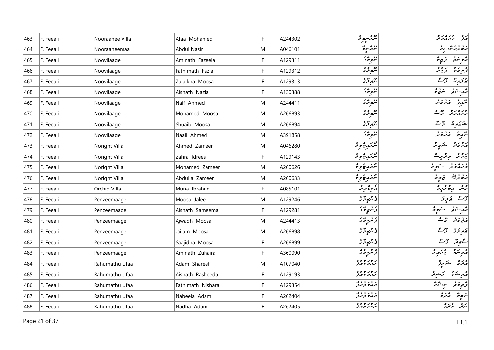| 463 | F. Feeali | Nooraanee Villa | Afaa Mohamed       | F  | A244302 | يزىز يېرو ئ <sup>ې</sup> ر         | ر و دره رو<br>دکل تربر د تر                       |
|-----|-----------|-----------------|--------------------|----|---------|------------------------------------|---------------------------------------------------|
| 464 | F. Feeali | Nooraaneemaa    | <b>Abdul Nasir</b> | M  | A046101 | ترپڑ ہر دی                         | رە دە بۇ بەر<br>مەھەرمەترىبىرىر                   |
| 465 | F. Feeali | Noovilaage      | Aminath Fazeela    | F. | A129311 | دو په په<br>سر <sub>گو</sub> بو د  | ړٌ پر سَرَهُ کَ کَمِ پَر                          |
| 466 | F. Feeali | Noovilaage      | Fathimath Fazla    | F  | A129312 | دد پر پر<br>سر <sub>گر</sub> بر    | و مرد د<br>تر مرد مر<br>ۇ ئەڭ                     |
| 467 | F. Feeali | Noovilaage      | Zulaikha Moosa     | F  | A129313 | دد په په<br>سرعو تر د              | چ ئۇ بەر <sup>3</sup><br>د پيشه                   |
| 468 | F. Feeali | Noovilaage      | Aishath Nazla      | F  | A130388 | دو پر پر<br>متر <sub>فع</sub> ر پر | ۇپرىشكى ئىركا ئ                                   |
| 469 | F. Feeali | Noovilaage      | Naif Ahmed         | M  | A244411 | دو پر پر<br>متر <sub>فع</sub> ر پر | شمرق مترحمته                                      |
| 470 | F. Feeali | Noovilaage      | Mohamed Moosa      | M  | A266893 | دد<br>متره مرد                     | وره دو دور                                        |
| 471 | F. Feeali | Noovilaage      | Shuaib Moosa       | M  | A266894 | دو په په<br>سرچ مر                 | يشمهره<br>دريجه                                   |
| 472 | F. Feeali | Noovilaage      | Naail Ahmed        | M  | A391858 | دد پر پر<br>سر <sub>گر</sub> بر    | شرو مەددىر                                        |
| 473 | F. Feeali | Noright Villa   | Ahmed Zameer       | M  | A046280 | شرىئىر <u>ھ</u> و ئ <sup>ۇ</sup>   | د د د د سکوپر                                     |
| 474 | F. Feeali | Noright Villa   | Zahra Idrees       | F  | A129143 | ترىئەرغورگ                         | اير جي په مر <sub>م</sub> ر موسي <i>ر ه</i>       |
| 475 | F. Feeali | Noright Villa   | Mohamed Zameer     | M  | A260626 | تزير بزعر عجموقر                   | ورەرو ئىچ                                         |
| 476 | F. Feeali | Noright Villa   | Abdulla Zameer     | M  | A260633 | ترىئەرغور                          | أرة فرالله يحرج يحمد                              |
| 477 | F. Feeali | Orchid Villa    | Muna Ibrahim       | F  | A085101 | وسوء وقر                           | دیگر مرگ محرک                                     |
| 478 | F. Feeali | Penzeemaage     | Moosa Jaleel       | M  | A129246 | ې مربح ئ <sup>ې</sup> په           |                                                   |
| 479 | F. Feeali | Penzeemaage     | Aishath Sameema    | F  | A129281 | ې مر <sub>مو</sub> ځ ی             | ۇ مەشەھ<br>مەرىشەھ<br>سەرچ                        |
| 480 | F. Feeali | Penzeemaage     | Ajwadh Moosa       | M  | A244413 | ئۇنترىپو ئەتر                      | پر 2 ر ح<br>پر تع حر تعر                          |
| 481 | F. Feeali | Penzeemaage     | Jailam Moosa       | M  | A266898 | ئۇيتى <sub>م</sub> ىچە ئە          | دين مشر<br>ئے <sub>مر</sub> تزو                   |
| 482 | F. Feeali | Penzeemaage     | Saajidha Moosa     | F  | A266899 | ئۇنترىپو ئەتر                      | ديو مشر<br>سەھ <sub>ى</sub> قر                    |
| 483 | F. Feeali | Penzeemaage     | Aminath Zuhaira    | F  | A360090 | ئۇنترىپو ئەتر                      | أأدبتهم للمناديم                                  |
| 484 | F. Feeali | Rahumathu Ufaa  | Adam Shareef       | M  | A107040 | ر ور و و و<br>بررو موړنۍ           | پە رە<br>مەنىرى<br>ے موثر                         |
| 485 | F. Feeali | Rahumathu Ufaa  | Aishath Rasheeda   | F  | A129193 | ر ور و و و<br>بررو موړنۍ           | پ <sup>و</sup> مرشوحو<br>م<br>ىكەپ ئەيەتىگە<br>ئە |
| 486 | F. Feeali | Rahumathu Ufaa  | Fathimath Nishara  | F. | A129354 | ر و ر و و و<br>بر ر ر ه د تر       | ۇ بورۇ سرىقىدىگە<br>كىسىمىسىسىز                   |
| 487 | F. Feeali | Rahumathu Ufaa  | Nabeela Adam       | F  | A262404 | ر ور و و ه<br>برروه د تو           | سرّە ئىچ<br>پر ہ<br>مرکز                          |
| 488 | F. Feeali | Rahumathu Ufaa  | Nadha Adam         | F  | A262405 | ر ور و و ه<br>برروه د تو           | بری پروه<br>سرتر پرترو                            |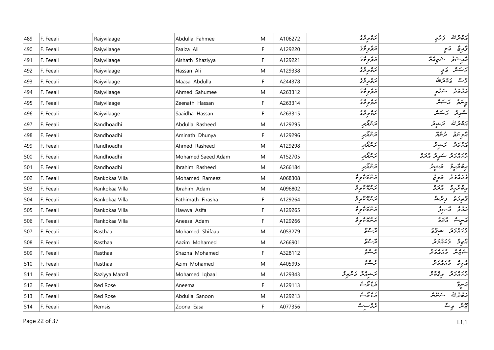| 489 | F. Feeali | Raiyvilaage    | Abdulla Fahmee     | M | A106272 | ره<br>بر <sub>گ</sub> ورځۍ         | أرة قرالله وترحي                                                                                                                                           |
|-----|-----------|----------------|--------------------|---|---------|------------------------------------|------------------------------------------------------------------------------------------------------------------------------------------------------------|
| 490 | F. Feeali | Raiyvilaage    | Faaiza Ali         | F | A129220 | ىر <i>ھ</i><br>ئىر ھومۇ ئى         | $\begin{array}{cc} \mathcal{L}_{\mathcal{A}} & \mathcal{E}_{\mathcal{A}} \mathcal{I} \\ \mathcal{I}_{\mathcal{A}} & \mathcal{I}_{\mathcal{A}} \end{array}$ |
| 491 | F. Feeali | Raiyvilaage    | Aishath Shaziyya   | F | A129221 | ره<br>بر <sub>گ</sub> ورځۍ         |                                                                                                                                                            |
| 492 | F. Feeali | Raiyvilaage    | Hassan Ali         | M | A129338 | برە و ڈی                           | يَرْسَمْشُ أَيْرِ إِ                                                                                                                                       |
| 493 | F. Feeali | Raiyvilaage    | Maasa Abdulla      | F | A244378 | ره<br>بر <sub>گ</sub> ورځۍ         | 3- مَةَ مَراللّه                                                                                                                                           |
| 494 | F. Feeali | Raiyvilaage    | Ahmed Sahumee      | M | A263312 | ره<br>مر <sub>گ</sub> وعو څر       | ړه رو کرو <sub>چ</sub>                                                                                                                                     |
| 495 | F. Feeali | Raiyvilaage    | Zeenath Hassan     | F | A263314 | ره<br>بر <sub>گ</sub> ورځۍ         | يې ئىرق ئەسكەنلىر                                                                                                                                          |
| 496 | F. Feeali | Raiyvilaage    | Saaidha Hassan     | F | A263315 | ره<br>بر <sub>گ</sub> ورځۍ         | گىرىگە كەسكىل                                                                                                                                              |
| 497 | F. Feeali | Randhoadhi     | Abdulla Rasheed    | M | A129295 | برەم                               | مَدْ مَدَّاللَّهُ مَرَسْوِمْر                                                                                                                              |
| 498 | F. Feeali | Randhoadhi     | Aminath Dhunya     | F | A129296 | برەم                               | أأدحر المترجم فرسمائر                                                                                                                                      |
| 499 | F. Feeali | Randhoadhi     | Ahmed Rasheed      | M | A129298 | برەج                               | رەر دىكىشىش                                                                                                                                                |
| 500 | F. Feeali | Randhoadhi     | Mohamed Saeed Adam | M | A152705 | ۔<br> تحریفر میر                   | ورەر و سەرتىر مەدرە                                                                                                                                        |
| 501 | F. Feeali | Randhoadhi     | Ibrahim Rasheed    | M | A266184 | برءجو                              | رەتزىر ترىنوتر                                                                                                                                             |
| 502 | F. Feeali | Rankokaa Villa | Mohamed Rameez     | M | A068308 | رەبىر ئ <sub>ەر</sub> ئە           | وره رو دره<br>د <i>پرون</i> د نړ <i>و</i> نځ                                                                                                               |
| 503 | F. Feeali | Rankokaa Villa | Ibrahim Adam       | M | A096802 | ىر ەبىر ئ <sub>ەھم</sub> ۇ         | رە ئرىر ئەرە                                                                                                                                               |
| 504 | F. Feeali | Rankokaa Villa | Fathimath Firasha  | F | A129264 | <br>  بر مويو موه عرض              | قرموخو وبتنش                                                                                                                                               |
| 505 | F. Feeali | Rankokaa Villa | Hawwa Asifa        | F | A129265 | ر ەبىر ب <sub>ە ھ</sub> ۇ          | رەپە ئەسىرى                                                                                                                                                |
| 506 | F. Feeali | Rankokaa Villa | Aneesa Adam        | F | A129266 | ر ۶ بیر بر محر<br>مرسر بر مرمو محر | أرسرت أردره                                                                                                                                                |
| 507 | F. Feeali | Rasthaa        | Mohamed Shifaau    | M | A053279 | پۇ رەپچ                            | <i>בג</i> הבנה לקב                                                                                                                                         |
| 508 | F. Feeali | Rasthaa        | Aazim Mohamed      | M | A266901 | پۇ رەپچ                            | و رە ر د<br>تر پر پر تر<br>وحمي فر                                                                                                                         |
| 509 | F. Feeali | Rasthaa        | Shazna Mohamed     | F | A328112 | پڑے پڑ                             | ے میں حدہ دور<br>شخص حد محدوقر                                                                                                                             |
| 510 | F. Feeali | Rasthaa        | Azim Mohamed       | M | A405995 | پر ٥ پر<br>مرسو                    | و رە ر د<br>تر پروتر<br>وحمي وح                                                                                                                            |
| 511 | F. Feeali | Raziyya Manzil | Mohamed Iqbaal     | M | A129343 | ىرىنىدۇ ئەمرى                      | ورەر دەپە ھەم<br><i>دىد</i> ىرى مەنى                                                                                                                       |
| 512 | F. Feeali | Red Rose       | Aneema             | F | A129113 | ، ە ە مەر<br>موبۇ ئىرىسە           | ەسىرچ                                                                                                                                                      |
| 513 | F. Feeali | Red Rose       | Abdulla Sanoon     | M | A129213 | ، ە ە مەر ھ                        | بر25 ألله<br>سەمىرىگر                                                                                                                                      |
| 514 | F. Feeali | Remsis         | Zoona Easa         | F | A077356 | بمروسبه                            | چین پرت                                                                                                                                                    |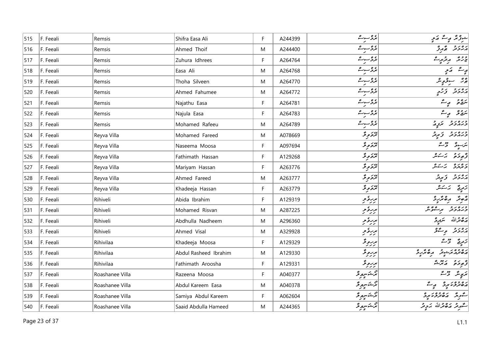| 515 | F. Feeali | Remsis          | Shifra Easa Ali       | F         | A244399 | پروسه م                             | جوړ پر شمر                      |
|-----|-----------|-----------------|-----------------------|-----------|---------|-------------------------------------|---------------------------------|
| 516 | F. Feeali | Remsis          | Ahmed Thoif           | M         | A244400 | پروسه م                             |                                 |
| 517 | F. Feeali | Remsis          | Zuhura Idhrees        | F         | A264764 | ئۇۋسەيھ                             | ەر ئەر ئەر ئەر ئە               |
| 518 | F. Feeali | Remsis          | Easa Ali              | M         | A264768 | پروسه م                             |                                 |
| 519 | F. Feeali | Remsis          | Thoha Silveen         | M         | A264770 | ئۇر سىزىشە                          |                                 |
| 520 | F. Feeali | Remsis          | Ahmed Fahumee         | M         | A264772 | بمرمح سبرم                          | برەر ترزىي                      |
| 521 | F. Feeali | Remsis          | Najathu Easa          | F         | A264781 | ئەۋسەيھ                             | ىردە دېرىشە<br>سىنجامۇ          |
| 522 | F. Feeali | Remsis          | Najula Easa           | F         | A264783 | بمرمح سبرم                          | يَرَوْعُ - مِيْ يَدُّ           |
| 523 | F. Feeali | Remsis          | Mohamed Rafeeu        | ${\sf M}$ | A264789 | ئۇۋسەيھ                             | ور ه ر د پر د<br>د بر برو بر بر |
| 524 | F. Feeali | Reyva Villa     | Mohamed Fareed        | M         | A078669 | مرد و قر                            | ورەرو كەرو                      |
| 525 | F. Feeali | Reyva Villa     | Naseema Moosa         | F         | A097694 | مره عرقته                           | يرسو څخه د مخله مخل             |
| 526 | F. Feeali | Reyva Villa     | Fathimath Hassan      | F         | A129268 | مره عرقته                           | أوالمحتج وأرامينهم              |
| 527 | F. Feeali | Reyva Villa     | Mariyam Hassan        | F         | A263776 | يمزوجر                              | ويوره برسكر                     |
| 528 | F. Feeali | Reyva Villa     | Ahmed Fareed          | M         | A263777 | مره عرقر                            | أرورو كبرو                      |
| 529 | F. Feeali | Reyva Villa     | Khadeeja Hassan       | F         | A263779 | مرە ئۇ                              | زَمِرِيحَ   بَرَسَرْسُ          |
| 530 | F. Feeali | Rihiveli        | Abida Ibrahim         | F         | A129319 | بررء و<br>مرگ                       | مُعِنَّرٌ مِعْتَبِ              |
| 531 | F. Feeali | Rihiveli        | Mohamed Risvan        | ${\sf M}$ | A287225 | ىررى بو<br>ئرىر ئىر                 | ورەرو برىمۇش                    |
| 532 | F. Feeali | Rihiveli        | Abdhulla Nadheem      | M         | A296360 | ىررى<br>مەر                         | رە داللە سەرد                   |
| 533 | F. Feeali | Rihiveli        | Ahmed Visal           | M         | A329928 | بورځ و<br>مرک                       | رەر دەر ئۇ                      |
| 534 | F. Feeali | Rihivilaa       | Khadeeja Moosa        | F         | A129329 | ابرره و گر<br><u>سب ر</u>           | زَمِرِجٌ صَحْبٌ                 |
| 535 | F. Feeali | Rihivilaa       | Abdul Rasheed Ibrahim | ${\sf M}$ | A129330 | ا برر و قر<br><u>مر</u> ر           | גם כם גבילה הסתיק               |
| 536 | F. Feeali | Rihivilaa       | Fathimath Aroosha     | F         | A129331 | ا پررونژ<br><u>- - - -</u>          | توجوحه وجميعة                   |
| 537 | F. Feeali | Roashanee Villa | Razeena Moosa         | F         | A040377 | م<br>مۇھۇمبرى <i>م</i> ىر           | يرىپە ئىر قارىسىگە              |
| 538 | F. Feeali | Roashanee Villa | Abdul Kareem Easa     | ${\sf M}$ | A040378 | ىرىشەس <sub>رىم</sub> وگە<br>مەسىمە | ره ده در په د                   |
| 539 | F. Feeali | Roashanee Villa | Samiya Abdul Kareem   | F         | A062604 | ئۇيغە مىرچە ئە                      | مشوش رە دەرىرە                  |
| 540 | F. Feeali | Roashanee Villa | Saaid Abdulla Hameed  | ${\sf M}$ | A244365 | ئۇينىدىيەتىرى<br>                   | ستمریز ره مقرالله بردیز         |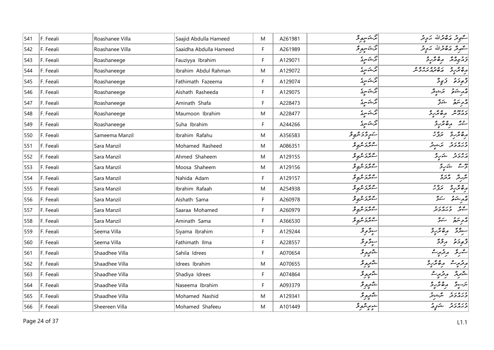| 541 | F. Feeali | Roashanee Villa | Saajid Abdulla Hameed  | ${\sf M}$ | A261981 | ئۇينۇ <sub>سرە ئ<sup>ۇ</sup></sub> | ستحير رَحْمَدْاللّه بَرْدٍ مِرْ                                                                                |
|-----|-----------|-----------------|------------------------|-----------|---------|------------------------------------|----------------------------------------------------------------------------------------------------------------|
| 542 | F. Feeali | Roashanee Villa | Saaidha Abdulla Hameed | F         | A261989 | ئۇيغە يېر <u>و ۋ</u>               | شَهرِ مَدْ مَدْ مِنْ اللّهِ مَدْ مِنْ                                                                          |
| 543 | F. Feeali | Roashaneege     | Fauziyya Ibrahim       | F         | A129071 | ئۇيغۇمىيە ئە<br>                   | נגיות הסתוכ                                                                                                    |
| 544 | F. Feeali | Roashaneege     | Ibrahim Abdul Rahman   | M         | A129072 | ئۇيغۇمىيە ئە<br>                   | ره وه ره د ه<br>پره تر پر پر تر س<br>ە ھەترىر <sup>ە</sup>                                                     |
| 545 | F. Feeali | Roashaneege     | Fathimath Fazeema      | F         | A129074 | ئۇيغۇمىيو ئە                       | توجوخته تري څ                                                                                                  |
| 546 | F. Feeali | Roashaneege     | Aishath Rasheeda       | F         | A129075 | لترينة مبرئة                       | لأرشكم كمرشوقر                                                                                                 |
| 547 | F. Feeali | Roashaneege     | Aminath Shafa          | F         | A228473 | ئۇيغۇمىيە ئە<br>                   | أأترسكم فسأر                                                                                                   |
| 548 | F. Feeali | Roashaneege     | Maumoon Ibrahim        | ${\sf M}$ | A228477 | ترىشەسرىگە                         | وە ئۆرۈ<br>ر دود ه<br><i>د</i> در س                                                                            |
| 549 | F. Feeali | Roashaneege     | Suha Ibrahim           | F         | A244266 | ترڪسري                             | برە ئۈرۈ<br>ستەپىر                                                                                             |
| 550 | F. Feeali | Sameema Manzil  | Ibrahim Rafahu         | M         | A356583 | سە <sub>ۋ</sub> ۇ ئەھمىي ئى        | ەرھەترىر <i>3</i><br>برڈز                                                                                      |
| 551 | F. Feeali | Sara Manzil     | Mohamed Rasheed        | M         | A086351 | شەر ئەر مەر يە ئى                  | ورەرو كەنبەتر                                                                                                  |
| 552 | F. Feeali | Sara Manzil     | Ahmed Shaheem          | M         | A129155 | <i>گەنگەد تىرى</i> ر               | أرەر ئىرگى ئىشتىر ئىلىمىتى ئىلىمىتى ئىستان ئىلان ئىلان ئىلان ئىلان ئىلان ئىلان ئىلان ئىلان ئىلان ئىلان ئىلان ئ |
| 553 | F. Feeali | Sara Manzil     | Moosa Shaheem          | M         | A129156 | <i>گەنگۈچىرى بى</i>                | ده شرد و                                                                                                       |
| 554 | F. Feeali | Sara Manzil     | Nahida Adam            | F         | A129157 | <i>گەنگەد نىرىنى</i> بى            | متزبر قتر<br>پر ہ<br>مرکز                                                                                      |
| 555 | F. Feeali | Sara Manzil     | Ibrahim Rafaah         | M         | A254938 | <i>گەنگەد ش</i> ېرى                | ەر ھەتمەر 2<br>ر<br>بروٌر                                                                                      |
| 556 | F. Feeali | Sara Manzil     | Aishath Sama           | F         | A260978 | <u>شمر د عربو د</u>                | ۇرمىشقى سىۋ                                                                                                    |
| 557 | F. Feeali | Sara Manzil     | Saaraa Mohamed         | F         | A260979 | <i>ے پڑ ئ</i> ے پائی               | ستمبر<br>و ر ه ر و<br>تر پر ژ تر                                                                               |
| 558 | F. Feeali | Sara Manzil     | Aminath Sama           | F.        | A366530 | <u>شويره پوځو</u>                  | ړ په سره ک                                                                                                     |
| 559 | F. Feeali | Seema Villa     | Siyama Ibrahim         | F         | A129244 | سوۋە ئە                            | ە ھەترىرى<br>سەدگر                                                                                             |
| 560 | F. Feeali | Seema Villa     | Fathimath Ilma         | F         | A228557 | سەۋە <sub>ۋ</sub> ۇ                | و مر د<br>تر مور مو<br>ەر بۇرى                                                                                 |
| 561 | F. Feeali | Shaadhee Villa  | Sahila Idrees          | F         | A070654 | ىشەرە ۋ<br>م                       | شريحه<br>ەر قرىبە بە                                                                                           |
| 562 | F. Feeali | Shaadhee Villa  | Idrees Ibrahim         | M         | A070655 | ىشەرەتر<br>ئ                       | ە ھەمگەر 2<br>رەھمگەر<br> <br>  پروژیو گ                                                                       |
| 563 | F. Feeali | Shaadhee Villa  | Shadiya Idrees         | F         | A074864 | ىشەرە ئۇ<br>ئ                      | شەھرەتر<br>س<br>ىر تۈپرىشە<br>س                                                                                |
| 564 | F. Feeali | Shaadhee Villa  | Naseema Ibrahim        | F         | A093379 | ىشەرەپ<br>ئىسىمىتىر                | ڔۿؠٞڔۯ<br>ىئەسىدۇ                                                                                              |
| 565 | F. Feeali | Shaadhee Villa  | Mohamed Nashid         | M         | A129341 | ے دورو تھ<br>مشتموں                | و ره ر د<br><i>و پر</i> پر تر<br>سٌرشوترٌ                                                                      |
| 566 | F. Feeali | Sheereen Villa  | Mohamed Shafeeu        | ${\sf M}$ | A101449 | ىنېدىر مى <i>ڭرى</i> گە            | ورەرو شۆپە                                                                                                     |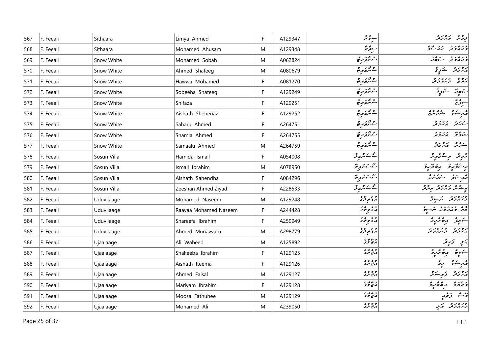| 567 | F. Feeali | Sithaara    | Limya Ahmed           | F  | A129347 | ا ہے<br>استعمال              | أووش مدوس                                                                                                                  |
|-----|-----------|-------------|-----------------------|----|---------|------------------------------|----------------------------------------------------------------------------------------------------------------------------|
| 568 | F. Feeali | Sithaara    | Mohamed Ahusam        | M  | A129348 | سوە ئەتتە                    | ورەرو رەپە                                                                                                                 |
| 569 | F. Feeali | Snow White  | Mohamed Sobah         | M  | A062824 | $rac{1}{2}$                  | بەھ بر<br>و ره ر و<br>تر پر ژ تر                                                                                           |
| 570 | F. Feeali | Snow White  | Ahmed Shafeeg         | M  | A080679 | <u>موتوره</u>                | پره پر په سکوي تخ                                                                                                          |
| 571 | F. Feeali | Snow White  | Hawwa Mohamed         | F  | A081270 | <u>۔ مورخ</u>                | و ره ر و<br><i>و ټ</i> ه و تر<br>رە پە<br>پەرى                                                                             |
| 572 | F. Feeali | Snow White  | Sobeeha Shafeeq       | F  | A129249 | مشمره                        | $\begin{array}{c} \stackrel{\bullet}{\sim} \\ \stackrel{\bullet}{\sim} \\ \stackrel{\bullet}{\sim} \end{array}$<br>شتور تر |
| 573 | F. Feeali | Snow White  | Shifaza               | F  | A129251 | ے ش <sub>کر ہ</sub> ے        | شووٌ تج                                                                                                                    |
| 574 | F. Feeali | Snow White  | Aishath Shehenaz      | F  | A129252 | مشروع                        | ے پر محرم<br>مشور سرچ<br>ر<br>پر گرمسکو می                                                                                 |
| 575 | F. Feeali | Snow White  | Saharu Ahmed          | F  | A264751 |                              | ستهتر المراد و                                                                                                             |
| 576 | F. Feeali | Snow White  | Shamla Ahmed          | F  | A264755 | <u>ہ بہ بہ و</u>             | ے وہ رورو<br>شووٹی پربروتر                                                                                                 |
| 577 | F. Feeali | Snow White  | Samaalu Ahmed         | M  | A264759 | <u>موثور ۽</u>               | سەۋىق بەرەر ۋ                                                                                                              |
| 578 | F. Feeali | Sosun Villa | Hamida Ismail         | F  | A054008 | التزينة عرورة                | يُرْدِيَّر بِرِ جُنُّورٍ وُ                                                                                                |
| 579 | F. Feeali | Sosun Villa | Ismail Ibrahim        | M  | A078950 | 2 سەمبى <sub>رى</sub> ئە     | وحدود وهندد                                                                                                                |
| 580 | F. Feeali | Sosun Villa | Aishath Sahendha      | F  | A084296 | اسىستىقرىتى                  | ە دىكەر ئەرەر<br>مەرشىمى سىرىتىر                                                                                           |
| 581 | F. Feeali | Sosun Villa | Zeeshan Ahmed Ziyad   | F  | A228533 | <u>ش ئەشرو ئۇ</u>            | ا پی شهر مدارد در بردگر<br>این شهر مدارد تر بردگر                                                                          |
| 582 | F. Feeali | Uduvilaage  | Mohamed Naseem        | M  | A129248 | د د په په<br> لروغونو        | ورەرو برسو                                                                                                                 |
| 583 | F. Feeali | Uduvilaage  | Raayaa Mohamed Naseem | F  | A244428 | د د وځه                      | ים כנסנכ ת-כ                                                                                                               |
| 584 | F. Feeali | Uduvilaage  | Shareefa Ibrahim      | F. | A259949 | د د په په<br>مرغونه          | خنبرز رەترىر                                                                                                               |
| 585 | F. Feeali | Uduvilaage  | Ahmed Munavvaru       | M  | A298779 | د د په په<br>مروغ د          | נפני כנסני<br>גיבת בית <i>ופ</i> ת                                                                                         |
| 586 | F. Feeali | Ujaalaage   | Ali Waheed            | M  | A125892 | و په پ<br>  پر بح نو ی       | ديمو ع <i>رب</i> ور<br>مص                                                                                                  |
| 587 | F. Feeali | Ujaalaage   | Shakeeba Ibrahim      | F  | A129125 | و پر پر پر<br>  پر بح محر پر | شەرەھ<br>شەرى<br>ەرھ ئ <sup>ۆ</sup> ر ۋ                                                                                    |
| 588 | F. Feeali | Ujaalaage   | Aishath Reema         | F  | A129126 | و ۵ ۵ م<br>  در خ تر د       | پ <sup>و</sup> مرشومی<br>مرگ<br>سمرتز                                                                                      |
| 589 | F. Feeali | Ujaalaage   | Ahmed Faisal          | M  | A129127 | و ۵ ۵ ز<br>پرانج مور         | بر 2 بر 1<br>م <i>ر</i> بر <del>1</del> تر<br>تەرىبىۋ                                                                      |
| 590 | F. Feeali | Ujaalaage   | Mariyam Ibrahim       | F  | A129128 | و ۵ ۵ و<br>پر قع مو ی        | ە ھەترىرى<br>ر ه ر ه<br><del>ر</del> بربرگ                                                                                 |
| 591 | F. Feeali | Ujaalaage   | Moosa Fathuhee        | M  | A129129 | و په پ<br>  پر بح نو ی       | در مع به در در به به به استفاده به به استفاده براستان به استفاده براستان براسی<br>مرگز                                     |
| 592 | F. Feeali | Ujaalaage   | Mohamed Ali           | M  | A239050 | و په په<br>  پر بخ نو ی      | ورەرو كې                                                                                                                   |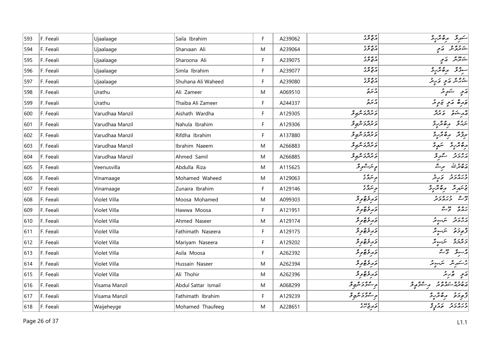| 593 | F. Feeali | Ujaalaage       | Saila Ibrahim       | F  | A239062 | و په پ<br>  پر بح نو ی                                    | برە ئۆرۈ<br>سەرقە                                                                                                                                                                                                               |
|-----|-----------|-----------------|---------------------|----|---------|-----------------------------------------------------------|---------------------------------------------------------------------------------------------------------------------------------------------------------------------------------------------------------------------------------|
| 594 | F. Feeali | Ujaalaage       | Sharvaan Ali        | M  | A239064 | و پر پر پر<br>پر بخ مور                                   | ے پر <i>و</i> ھ مگر<br>ەتىر                                                                                                                                                                                                     |
| 595 | F. Feeali | Ujaalaage       | Sharoona Ali        | F. | A239075 | و پر پر پر<br>  پر بح مور                                 | أخوجرهم أركمني                                                                                                                                                                                                                  |
| 596 | F. Feeali | Ujaalaage       | Simla Ibrahim       | F  | A239077 | و ۵ ۵ و<br>پرې نور                                        | دە ئەرد<br>سەۋىۋ                                                                                                                                                                                                                |
| 597 | F. Feeali | Ujaalaage       | Shuhana Ali Waheed  | F  | A239080 | و ۵ ۵ م<br>  در ق مر د                                    | لمشتركة كالمع كالمرقر                                                                                                                                                                                                           |
| 598 | F. Feeali | Urathu          | Ali Zameer          | M  | A069510 | و ر د<br>د بره                                            | أأتمني المستوجر                                                                                                                                                                                                                 |
| 599 | F. Feeali | Urathu          | Thaiba Ali Zameer   | F  | A244337 | د بر د<br>د برم                                           | وكرة كالمح والمحاج                                                                                                                                                                                                              |
| 600 | F. Feeali | Varudhaa Manzil | Aishath Wardha      | F  | A129305 | ر و پر ژوپر و<br>عبر ترکر شر <sub>یکی</sub> ژ             | و در در در در در در در در در این کلید به در این کلید به در این کلید به در این کلید به دست کلید به دست کلید به<br>این کلید به دست کلید به دست کلید به دست کلید به دست کلید به دست کلید به دست کلید به دست کلید به دست کلید به دس |
| 601 | F. Feeali | Varudhaa Manzil | Nahula Ibrahim      | F  | A129306 | د و و ر ه پر و                                            | يروثو أرەمزىر                                                                                                                                                                                                                   |
| 602 | F. Feeali | Varudhaa Manzil | Rifdha Ibrahim      | F. | A137880 | ر و و ر ه پر و<br>و <del>ب</del> ر تر د شر <sub>ي</sub> و | بروتر مەھرىر                                                                                                                                                                                                                    |
| 603 | F. Feeali | Varudhaa Manzil | Ibrahim Naeem       | M  | A266883 | د د ژ ژ ژ ژ ژ ژ                                           | ەرھ ئ <sup>ۆ</sup> ر ۋ<br>سَمِدٍ رَ                                                                                                                                                                                             |
| 604 | F. Feeali | Varudhaa Manzil | Ahmed Samil         | M  | A266885 | د ژوگرځ مربو څر                                           | ىر 2 مەر<br>مەشرىق قىل<br>ر گەر بى                                                                                                                                                                                              |
| 605 | F. Feeali | Veenusvilla     | Abdulla Riza        | M  | A115625 | <sub>عو</sub> مئر ڪ <sub>ھو</sub> مگر                     | صقعرالله                                                                                                                                                                                                                        |
| 606 | F. Feeali | Vinamaage       | Mohamed Waheed      | M  | A129063 | ر د » ،<br>و سرچ د                                        | ورەرو كەيتر                                                                                                                                                                                                                     |
| 607 | F. Feeali | Vinamaage       | Zunaira Ibrahim     | F  | A129146 | ر پر د<br>و سرچ ی                                         | كالمتمريح مقتربة                                                                                                                                                                                                                |
| 608 | F. Feeali | Violet Villa    | Moosa Mohamed       | M  | A099303 | وَرِدْعْ وِدَّ                                            | ووقع وره د و                                                                                                                                                                                                                    |
| 609 | F. Feeali | Violet Villa    | Hawwa Moosa         | F. | A121951 | ئەرىۋە بۇ ئە                                              | برە ئە<br>دومعه                                                                                                                                                                                                                 |
| 610 | F. Feeali | Violet Villa    | Ahmed Naseer        | M  | A129174 | ءَ ٻر ڏھ عر ٿُ                                            | رەرو سكەبدىر                                                                                                                                                                                                                    |
| 611 | F. Feeali | Violet Villa    | Fathimath Naseera   | F  | A129175 | ءَ ٻر ڏھ ۾ ڏُ                                             | ىئەسبەتىر<br>وٌ جو حَرْ حَرْ                                                                                                                                                                                                    |
| 612 | F. Feeali | Violet Villa    | Mariyam Naseera     | F  | A129202 | لور وقصورة                                                | ر ه ر ه<br>تر <del>ب</del> ر بر<br>ىئزىبونتر                                                                                                                                                                                    |
| 613 | F. Feeali | Violet Villa    | Asila Moosa         | F  | A262392 | ءَ ٻر ڏھ عر ٿُ                                            | ۇسۇ ۋى                                                                                                                                                                                                                          |
| 614 | F. Feeali | Violet Villa    | Hussain Naseer      | M  | A262394 | ءَ مرځو هو ځه                                             | يزخير ش الكربيولي                                                                                                                                                                                                               |
| 615 | F. Feeali | Violet Villa    | Ali Thohir          | M  | A262396 | وَرِدْعْ وِدَّ                                            | $\frac{2}{3}$ $\frac{2}{3}$ $\frac{2}{3}$                                                                                                                                                                                       |
| 616 | F. Feeali | Visama Manzil   | Abdul Sattar Ismail | M  | A068299 | <sub>م</sub> وسەۋىر ش <sub>ەپ</sub> ر                     | ג ככם גם כב הם כבית כ                                                                                                                                                                                                           |
| 617 | F. Feeali | Visama Manzil   | Fathimath Ibrahim   | F. | A129239 | <sub>و</sub> ستۇۋىتى ۋ                                    | وجودة مقترد                                                                                                                                                                                                                     |
| 618 | F. Feeali | Waijeheyge      | Mohamed Thaufeeg    | M  | A228651 | ر<br>تو در ج ر د                                          | כנסנכ נכנס                                                                                                                                                                                                                      |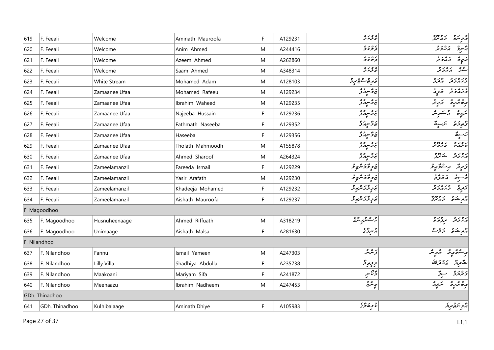| 619 | F. Feeali      | Welcome             | Aminath Mauroofa | F         | A129231 | <i>، ور</i> ه               | t 32 2 1<br>3 5 1 2 2<br>أأرمر ترة                             |
|-----|----------------|---------------------|------------------|-----------|---------|-----------------------------|----------------------------------------------------------------|
| 620 | F. Feeali      | Welcome             | Anim Ahmed       | M         | A244416 | <sup>ى و</sup> ر دە         | ومجسره<br>پرور و                                               |
| 621 | F. Feeali      | Welcome             | Azeem Ahmed      | M         | A262860 | ، ه ره<br>حرم تر            | $\overline{\mathcal{S}_{\zeta}$<br>پروژی                       |
| 622 | F. Feeali      | Welcome             | Saam Ahmed       | M         | A348314 | <i>، ور</i> ه               | سەۋ<br>بر ہ بر د<br>م <i>ر</i> بر <del>د</del> تر              |
| 623 | F. Feeali      | <b>White Stream</b> | Mohamed Adam     | M         | A128103 | وَرِءٍ سُوءٍ بِرِدَ         | ورەر د پرە<br><i>دىد</i> ردىر م <mark>ى</mark> رد              |
| 624 | F. Feeali      | Zamaanee Ufaa       | Mohamed Rafeeu   | M         | A129234 | ئە ئەسر ئەر                 | ورەر دىر                                                       |
| 625 | F. Feeali      | Zamaanee Ufaa       | Ibrahim Waheed   | ${\sf M}$ | A129235 | ئەۋسى <i>دۇ</i>             | ە ئەرە كەبەر<br>مەھمەرە كەبەر                                  |
| 626 | F. Feeali      | Zamaanee Ufaa       | Najeeba Hussain  | F         | A129236 | ىر ئەسىر<br>ئ               | سَمِعٍ حَقٍّ بِمَا سَمْرِ سَرْ                                 |
| 627 | F. Feeali      | Zamaanee Ufaa       | Fathmath Naseeba | F         | A129352 | ئەۋسىدۇ                     | سكرسدة                                                         |
| 628 | F. Feeali      | Zamaanee Ufaa       | Haseeba          | F         | A129356 | ىر ئەسىردىگە<br>ئ           | رَبِي                                                          |
| 629 | F. Feeali      | Zamaanee Ufaa       | Tholath Mahmoodh | M         | A155878 | ئەۋسىدۇ                     | ر ه ر د<br>جو <i>د</i> ړه<br>ر ه دو و<br>تر بر <del>و</del> تر |
| 630 | F. Feeali      | Zamaanee Ufaa       | Ahmed Sharoof    | M         | A264324 | ئەۋسىدۇ                     | ر ه ر د<br>م.ر څ تر<br>ے چوتو<br>سنتونتوٹو                     |
| 631 | F. Feeali      | Zameelamanzil       | Fareeda Ismail   | F         | A129229 | ئ <sub>ۇ</sub> ئۇ ئەشمىر ئە | زَىرِمَّە رُسْدَّرُدٍ د                                        |
| 632 | F. Feeali      | Zameelamanzil       | Yasir Arafath    | ${\sf M}$ | A129230 | ئ <sub>ۇ</sub> ئۇ ئەشمىر ئە | پ <sup>و</sup> سونډ که ترومو                                   |
| 633 | F. Feeali      | Zameelamanzil       | Khadeeja Mohamed | F         | A129232 | ئەر ئەز ئىبى ئە             | كتريعً وبرورو                                                  |
| 634 | F. Feeali      | Zameelamanzil       | Aishath Mauroofa | F         | A129237 | ئەر ئەز ئىر ئى              | أشهدت ودود                                                     |
|     | F. Magoodhoo   |                     |                  |           |         |                             |                                                                |
| 635 | F. Magoodhoo   | Husnuheenaage       | Ahmed Riffuath   | ${\sf M}$ | A318219 | ر مەيرى <sub>ر بىرى</sub>   | 1997 - 1997<br>1997 - 1997<br>1997 - 1997                      |
| 636 | F. Magoodhoo   | Unimaage            | Aishath Malsa    | F         | A281630 | ج سرچ ی                     |                                                                |
|     | F. Nilandhoo   |                     |                  |           |         |                             |                                                                |
| 637 | F. Nilandhoo   | Fannu               | Ismail Yameen    | ${\sf M}$ | A247303 | ۇ ئىرىتر                    | رە ئۇيۇ ئۇچىگ                                                  |
| 638 | F. Nilandhoo   | Lilly Villa         | Shadhiya Abdulla | F         | A235738 | ووەر                        | فَتُورِيرٌ وَتَعْرَاللّهَ                                      |
| 639 | F. Nilandhoo   | Maakoani            | Mariyam Sifa     | F         | A241872 | ورهبر                       | ر ه ر ه<br><del>ر</del> بربرو<br>سىزقر                         |
| 640 | F. Nilandhoo   | Meenaazu            | Ibrahim Nadheem  | ${\sf M}$ | A247453 | جريثي                       | سرترو<br>ەرھەترىر <sup>ى</sup>                                 |
|     | GDh. Thinadhoo |                     |                  |           |         |                             |                                                                |
| 641 | GDh. Thinadhoo | Kulhibalaage        | Aminath Dhiye    | F         | A105983 | دېږې ده                     | ړڻ سرچ مرچر                                                    |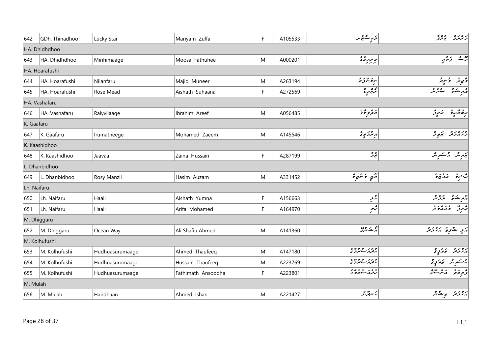| 642         | GDh. Thinadhoo | Lucky Star      | Mariyam Zulfa      | F         | A105533 | ئەربە ئەھج بىر                       | ر و ر و و و و د                   |
|-------------|----------------|-----------------|--------------------|-----------|---------|--------------------------------------|-----------------------------------|
|             | HA. Dhidhdhoo  |                 |                    |           |         |                                      |                                   |
| 643         | HA. Dhidhdhoo  | Mirihimaage     | Moosa Fathuhee     | ${\sf M}$ | A000201 | و بور و ه<br> <br>  <u>د د د</u>     | لايم توه بر                       |
|             | HA. Hoarafushi |                 |                    |           |         |                                      |                                   |
| 644         | HA. Hoarafushi | Nilanfaru       | Majid Muneer       | M         | A263194 | سرىزىندىر تر                         | و المعرفة المحسنة المحمد          |
| 645         | HA. Hoarafushi | Rose Mead       | Aishath Suhaana    | F         | A272569 | ە ە ھ<br>مرىخ ج                      | لأمشكش سنرتش                      |
|             | HA. Vashafaru  |                 |                    |           |         |                                      |                                   |
| 646         | HA. Vashafaru  | Raiyvilaage     | Ibrahim Areef      | M         | A056485 | بره و پر ،<br>مر <sub>حو</sub> مونځر | وەترىر مەر                        |
| K. Gaafaru  |                |                 |                    |           |         |                                      |                                   |
| 647         | K. Gaafaru     | Irumatheege     | Mohamed Zaeem      | ${\sf M}$ | A145546 | وبتردحو                              | כנסנב בפ                          |
|             | K. Kaashidhoo  |                 |                    |           |         |                                      |                                   |
| 648         | K. Kaashidhoo  | Jaavaa          | Zaina Hussain      | F.        | A287199 | انج بحر<br>الن                       | ىم بىر ئىر كەر بىر                |
|             | L. Dhanbidhoo  |                 |                    |           |         |                                      |                                   |
| 649         | L. Dhanbidhoo  | Rosy Manzil     | Hasim Auzam        | M         | A331452 | ټرې د ترېږ و                         | برَّسْوِرْ<br>2 ב גם<br>1 ה ה ב ג |
| Lh. Naifaru |                |                 |                    |           |         |                                      |                                   |
| 650         | Lh. Naifaru    | Haali           | Aishath Yumna      | F.        | A156663 | رٌمزِ                                | وكرمشكم الروائل                   |
| 651         | Lh. Naifaru    | Haali           | Arifa Mohamed      | F         | A164970 | شعر                                  | وسوق ورەرو                        |
|             | M. Dhiggaru    |                 |                    |           |         |                                      |                                   |
| 652         | M. Dhiggaru    | Ocean Way       | Ali Shafiu Ahmed   | M         | A141360 | م ئەھمىيە<br>مەشتەسرى                | ړې ځروړ ډېردو                     |
|             | M. Kolhufushi  |                 |                    |           |         |                                      |                                   |
| 653         | M. Kolhufushi  | Hudhuasurumaage | Ahmed Thaufeeg     | M         | A147180 | و ور په وه و،<br>رتوړ سه بود و       | גם גב גבים                        |
| 654         | M. Kolhufushi  | Hudhuasurumaage | Hussain Thaufeeq   | M         | A223769 | و ورحيد و ده.<br>رتوبر سنوبرو د      | ج ڪمريڪر او آھي تو                |
| 655         | M. Kolhufushi  | Hudhuasurumaage | Fathimath Ansoodha | F.        | A223801 | و ورح و و ده<br>رقوبر سنوبو د        | و رو ده دود.<br>د وده د س         |
| M. Mulah    |                |                 |                    |           |         |                                      |                                   |
| 656         | M. Mulah       | Handhaan        | Ahmed Ishan        | M         | A221427 | ر<br>سر پر بگر                       | أرەر دېگىر                        |
|             |                |                 |                    |           |         |                                      |                                   |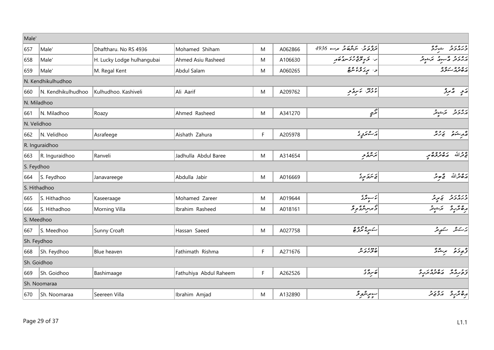| Male'      |                    |                            |                           |           |         |                                      |                                       |
|------------|--------------------|----------------------------|---------------------------|-----------|---------|--------------------------------------|---------------------------------------|
| 657        | Male'              | Dhaftharu. No RS 4936      | Mohamed Shiham            | M         | A062866 | تروم تر. سرچھ تر سرے 4936            | ورەرو جوڭر                            |
| 658        | Male'              | H. Lucky Lodge hulhangubai | <b>Ahmed Asiu Rasheed</b> | M         | A106630 | ر کے پانچھے شکست کا م                | رەر د گەسور كرشونر                    |
| 659        | Male'              | M. Regal Kent              | Abdul Salam               | M         | A060265 | وسيرى ولا هام                        | ره وه د روه<br>پره ترور سونژو         |
|            | N. Kendhikulhudhoo |                            |                           |           |         |                                      |                                       |
| 660        | N. Kendhikulhudhoo | Kulhudhoo. Kashiveli       | Ali Aarif                 | ${\sf M}$ | A209762 | و دود. که بره و<br>مالاند. که بره بر | أرشح أرتمبرقر                         |
|            | N. Miladhoo        |                            |                           |           |         |                                      |                                       |
| 661        | N. Miladhoo        | Roazy                      | Ahmed Rasheed             | M         | A341270 | جرمج                                 | رەر ئەستىدى<br>مەرى ئىشى              |
|            | N. Velidhoo        |                            |                           |           |         |                                      |                                       |
| 662        | N. Velidhoo        | Asrafeege                  | Aishath Zahura            | F         | A205978 | ە ئەسىمىزىي ئە                       | وكرم ينكوه المح كرمكر                 |
|            | R. Inguraidhoo     |                            |                           |           |         |                                      |                                       |
| 663        | R. Inguraidhoo     | Ranveli                    | Jadhulla Abdul Baree      | M         | A314654 | برەء                                 | قَوْمِ اللَّهُ صَرَّوْرَةً مِرِ       |
| S. Feydhoo |                    |                            |                           |           |         |                                      |                                       |
| 664        | S. Feydhoo         | Janavareege                | Abdulla Jabir             | ${\sf M}$ | A016669 | ئے مترکھ سریحہ                       | مَ صَعْرَاللّهُ مَعَ صِمْرَ           |
|            | S. Hithadhoo       |                            |                           |           |         |                                      |                                       |
| 665        | S. Hithadhoo       | Kaseeraage                 | Mohamed Zareer            | M         | A019644 | ئەسەتىرى<br>ئو                       |                                       |
| 666        | S. Hithadhoo       | <b>Morning Villa</b>       | Ibrahim Rasheed           | M         | A018161 | دمر سر مثر عرود مح                   |                                       |
|            | S. Meedhoo         |                            |                           |           |         |                                      |                                       |
| 667        | S. Meedhoo         | Sunny Croaft               | Hassan Saeed              | M         | A027758 | سەرەم دە                             | يزكتان التقرير                        |
|            | Sh. Feydhoo        |                            |                           |           |         |                                      |                                       |
| 668        | Sh. Feydhoo        | Blue heaven                | Fathimath Rishma          | F         | A271676 | و دو پر رہ<br>ج <i>و پ</i> ر جنگ     | و و د د سر د و د                      |
|            | Sh. Goidhoo        |                            |                           |           |         |                                      |                                       |
| 669        | Sh. Goidhoo        | Bashimaage                 | Fathuhiya Abdul Raheem    | F         | A262526 | ئەسرىتى ي                            | ני ני נפינגים .<br>ניציגות גישונגיגים |
|            | Sh. Noomaraa       |                            |                           |           |         |                                      |                                       |
| 670        | Sh. Noomaraa       | Seereen Villa              | Ibrahim Amjad             | M         | A132890 | سەمەيھۇقە<br>سىمەسىر                 | مەھەر بەر بەر                         |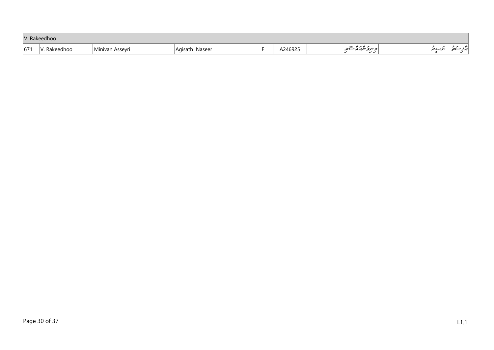|     | V. Rakeedhoo |                 |                   |         |                                                      |                        |
|-----|--------------|-----------------|-------------------|---------|------------------------------------------------------|------------------------|
| 671 | Rakeedhoc    | Minivan Asseyri | Naseer<br>Adisath | A246925 | $\alpha$ 0 / 0 /<br>  ترسره سوپر بر سوسر<br><b>∕</b> | پر تخه مسعو<br>سربسوبم |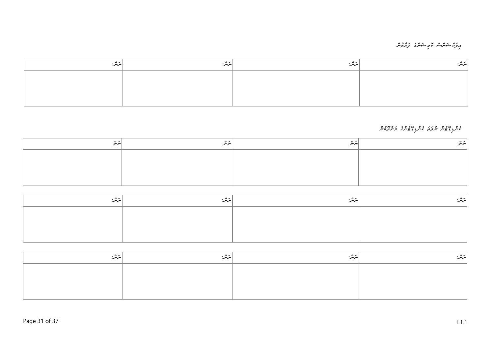## *w7qAn8m? sCw7mRo>u; wEw7mRw;sBo<*

| ' مرمر | 'يئرىثر: |
|--------|----------|
|        |          |
|        |          |
|        |          |

## *w7q9r@w7m> sCw7qHtFoFw7s; mAm=q7 w7qHtFoFw7s;*

| ىر تە | $\mathcal{O} \times$<br>$\sim$ | $\sim$<br>. . | لترنثر |
|-------|--------------------------------|---------------|--------|
|       |                                |               |        |
|       |                                |               |        |
|       |                                |               |        |

| انترنثر: | $^{\circ}$ | يبرهر | $^{\circ}$<br>سرسر |
|----------|------------|-------|--------------------|
|          |            |       |                    |
|          |            |       |                    |
|          |            |       |                    |

| يره | $\sim$<br>. | $\sim$<br>سرسر | $^{\circ}$<br>مرسر |
|-----|-------------|----------------|--------------------|
|     |             |                |                    |
|     |             |                |                    |
|     |             |                |                    |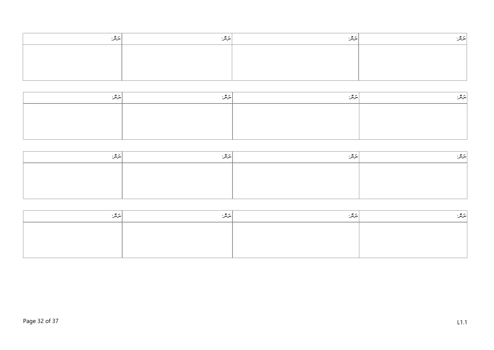| يزهر | $^{\circ}$ | ىئرىتر: |  |
|------|------------|---------|--|
|      |            |         |  |
|      |            |         |  |
|      |            |         |  |

| <sup>.</sup> سرسر. |  |
|--------------------|--|
|                    |  |
|                    |  |
|                    |  |

| ىئرىتر. | $\sim$ | ا بر هه. | لىرىش |
|---------|--------|----------|-------|
|         |        |          |       |
|         |        |          |       |
|         |        |          |       |

| 。<br>مرس. | $\overline{\phantom{a}}$<br>مر مىر | يتريثر |
|-----------|------------------------------------|--------|
|           |                                    |        |
|           |                                    |        |
|           |                                    |        |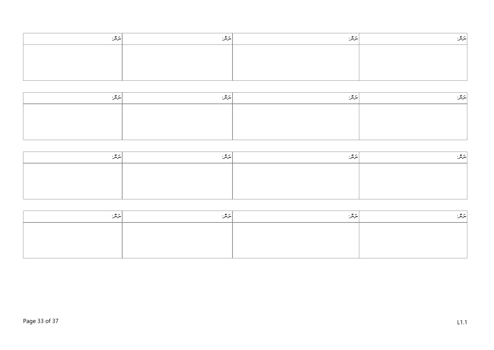| ير هو . | $\overline{\phantom{a}}$ | يرمر | اير هنه. |
|---------|--------------------------|------|----------|
|         |                          |      |          |
|         |                          |      |          |
|         |                          |      |          |

| ئىرتىر: | $\sim$<br>ا سرسر . | يئرمثر | o . |
|---------|--------------------|--------|-----|
|         |                    |        |     |
|         |                    |        |     |
|         |                    |        |     |

| الترنثر: | ' مرتكز: | الترنثر: | .,<br>سرسر. |
|----------|----------|----------|-------------|
|          |          |          |             |
|          |          |          |             |
|          |          |          |             |

|  | . ه |
|--|-----|
|  |     |
|  |     |
|  |     |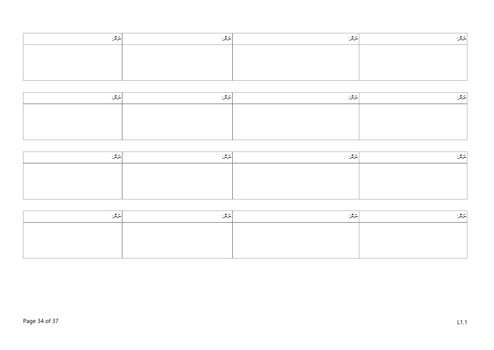| ير هو . | $\overline{\phantom{a}}$ | يرمر | اير هنه. |
|---------|--------------------------|------|----------|
|         |                          |      |          |
|         |                          |      |          |
|         |                          |      |          |

| ىر تىر: | $\circ$ $\sim$<br>" سرسر . | يبرحه | o . |
|---------|----------------------------|-------|-----|
|         |                            |       |     |
|         |                            |       |     |
|         |                            |       |     |

| 'تترنثر: | 。<br>,,,, |  |
|----------|-----------|--|
|          |           |  |
|          |           |  |
|          |           |  |

|  | . ه |
|--|-----|
|  |     |
|  |     |
|  |     |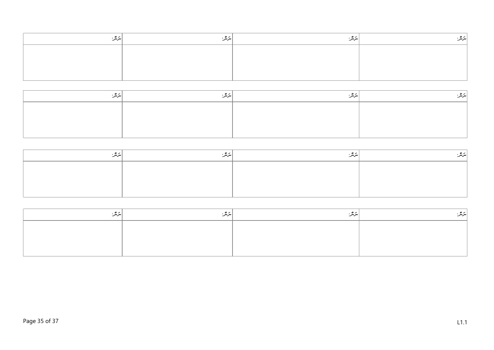| $\cdot$ | ο. | $\frac{\circ}{\cdot}$ | $\sim$<br>سرسر |
|---------|----|-----------------------|----------------|
|         |    |                       |                |
|         |    |                       |                |
|         |    |                       |                |

| ايئرىثر: | سر سر | َ سرسر. |
|----------|-------|---------|
|          |       |         |
|          |       |         |
|          |       |         |

| ؞؞ | .<br>$\tilde{}$ | . ه<br>سرسر. |
|----|-----------------|--------------|
|    |                 |              |
|    |                 |              |
|    |                 |              |

| 。 | $\tilde{\phantom{a}}$ | 0<br>سرسر. |
|---|-----------------------|------------|
|   |                       |            |
|   |                       |            |
|   |                       |            |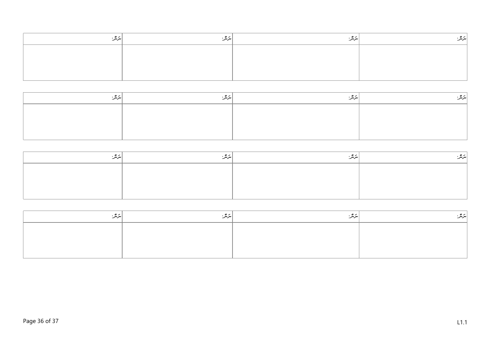| ير هو . | $\overline{\phantom{a}}$ | يرمر | لتزمثن |
|---------|--------------------------|------|--------|
|         |                          |      |        |
|         |                          |      |        |
|         |                          |      |        |

| ىبرىر. | $\sim$<br>ا سرسر . | يئرمثر | o . |
|--------|--------------------|--------|-----|
|        |                    |        |     |
|        |                    |        |     |
|        |                    |        |     |

| انترنثر: | ر ه |  |
|----------|-----|--|
|          |     |  |
|          |     |  |
|          |     |  |

|  | . ه |
|--|-----|
|  |     |
|  |     |
|  |     |